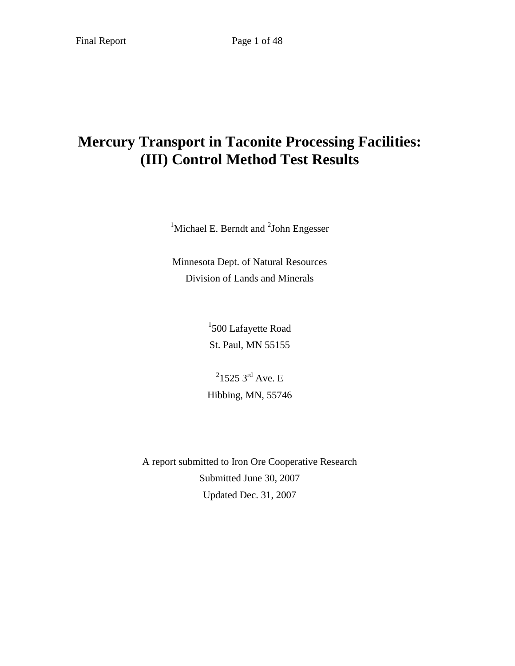# **Mercury Transport in Taconite Processing Facilities: (III) Control Method Test Results**

<sup>1</sup>Michael E. Berndt and  ${}^{2}$ John Engesser

Minnesota Dept. of Natural Resources Division of Lands and Minerals

> <sup>1</sup>500 Lafayette Road St. Paul, MN 55155

 $^{2}$ 1525 3<sup>rd</sup> Ave. E Hibbing, MN, 55746

A report submitted to Iron Ore Cooperative Research Submitted June 30, 2007 Updated Dec. 31, 2007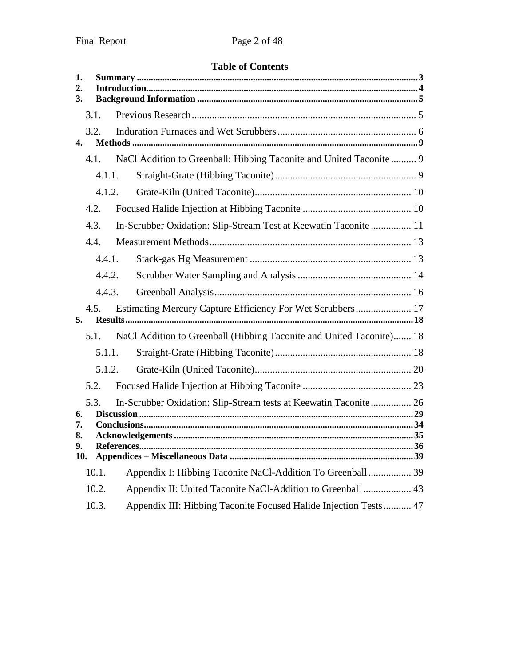# **Table of Contents**

| 1.<br>2.<br>3. |        |                                                                      |  |
|----------------|--------|----------------------------------------------------------------------|--|
|                | 3.1.   |                                                                      |  |
| 4.             | 3.2.   |                                                                      |  |
|                | 4.1.   | NaCl Addition to Greenball: Hibbing Taconite and United Taconite  9  |  |
|                | 4.1.1. |                                                                      |  |
|                | 4.1.2. |                                                                      |  |
|                | 4.2.   |                                                                      |  |
|                | 4.3.   | In-Scrubber Oxidation: Slip-Stream Test at Keewatin Taconite  11     |  |
|                | 4.4.   |                                                                      |  |
|                | 4.4.1. |                                                                      |  |
|                | 4.4.2. |                                                                      |  |
|                | 4.4.3. |                                                                      |  |
| 5.             | 4.5.   | Estimating Mercury Capture Efficiency For Wet Scrubbers 17           |  |
|                | 5.1.   | NaCl Addition to Greenball (Hibbing Taconite and United Taconite) 18 |  |
|                | 5.1.1. |                                                                      |  |
|                | 5.1.2. |                                                                      |  |
|                | 5.2.   |                                                                      |  |
| 6.             | 5.3.   | In-Scrubber Oxidation: Slip-Stream tests at Keewatin Taconite 26     |  |
| 7.<br>8.       |        |                                                                      |  |
| 9.<br>10.      |        |                                                                      |  |
|                | 10.1.  | Appendix I: Hibbing Taconite NaCl-Addition To Greenball  39          |  |
|                | 10.2.  | Appendix II: United Taconite NaCl-Addition to Greenball  43          |  |
|                | 10.3.  | Appendix III: Hibbing Taconite Focused Halide Injection Tests 47     |  |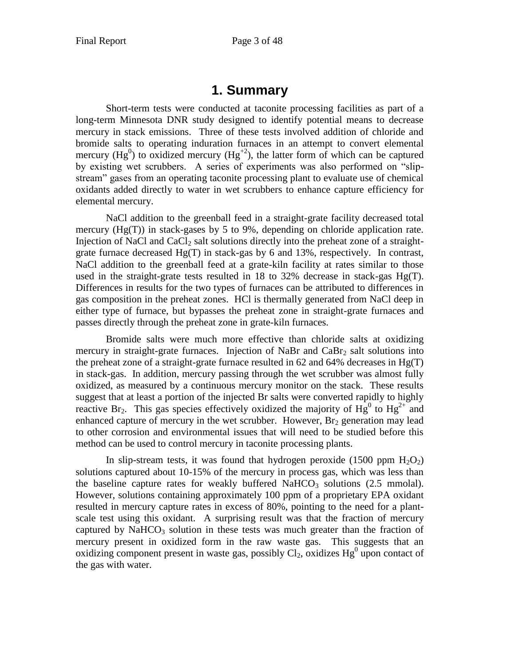# **1. Summary**

<span id="page-2-0"></span>Short-term tests were conducted at taconite processing facilities as part of a long-term Minnesota DNR study designed to identify potential means to decrease mercury in stack emissions. Three of these tests involved addition of chloride and bromide salts to operating induration furnaces in an attempt to convert elemental mercury (Hg<sup>0</sup>) to oxidized mercury (Hg<sup>+2</sup>), the latter form of which can be captured by existing wet scrubbers. A series of experiments was also performed on "slipstream" gases from an operating taconite processing plant to evaluate use of chemical oxidants added directly to water in wet scrubbers to enhance capture efficiency for elemental mercury.

NaCl addition to the greenball feed in a straight-grate facility decreased total mercury (Hg(T)) in stack-gases by 5 to 9%, depending on chloride application rate. Injection of NaCl and CaCl<sub>2</sub> salt solutions directly into the preheat zone of a straightgrate furnace decreased Hg(T) in stack-gas by 6 and 13%, respectively. In contrast, NaCl addition to the greenball feed at a grate-kiln facility at rates similar to those used in the straight-grate tests resulted in 18 to 32% decrease in stack-gas  $Hg(T)$ . Differences in results for the two types of furnaces can be attributed to differences in gas composition in the preheat zones. HCl is thermally generated from NaCl deep in either type of furnace, but bypasses the preheat zone in straight-grate furnaces and passes directly through the preheat zone in grate-kiln furnaces.

Bromide salts were much more effective than chloride salts at oxidizing mercury in straight-grate furnaces. Injection of NaBr and  $CaBr<sub>2</sub>$  salt solutions into the preheat zone of a straight-grate furnace resulted in 62 and 64% decreases in  $Hg(T)$ in stack-gas. In addition, mercury passing through the wet scrubber was almost fully oxidized, as measured by a continuous mercury monitor on the stack. These results suggest that at least a portion of the injected Br salts were converted rapidly to highly reactive Br<sub>2</sub>. This gas species effectively oxidized the majority of  $Hg^{0}$  to  $Hg^{2+}$  and enhanced capture of mercury in the wet scrubber. However,  $Br<sub>2</sub>$  generation may lead to other corrosion and environmental issues that will need to be studied before this method can be used to control mercury in taconite processing plants.

In slip-stream tests, it was found that hydrogen peroxide (1500 ppm  $H_2O_2$ ) solutions captured about 10-15% of the mercury in process gas, which was less than the baseline capture rates for weakly buffered  $\text{NaHCO}_3$  solutions (2.5 mmolal). However, solutions containing approximately 100 ppm of a proprietary EPA oxidant resulted in mercury capture rates in excess of 80%, pointing to the need for a plantscale test using this oxidant. A surprising result was that the fraction of mercury captured by  $NaHCO<sub>3</sub>$  solution in these tests was much greater than the fraction of mercury present in oxidized form in the raw waste gas. This suggests that an oxidizing component present in waste gas, possibly  $Cl_2$ , oxidizes  $Hg^0$  upon contact of the gas with water.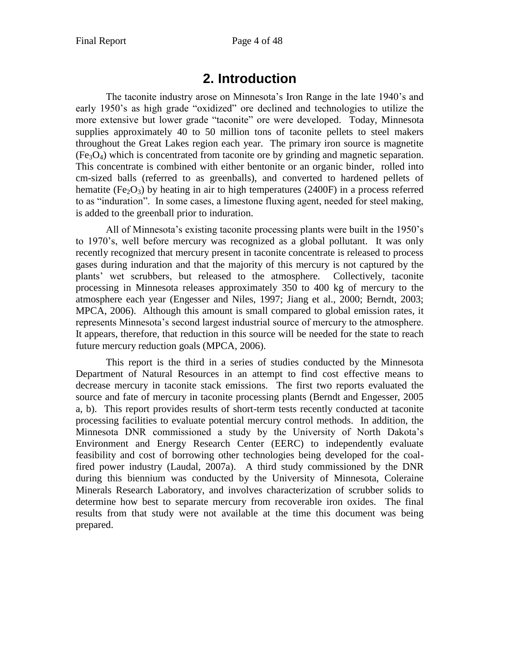# **2. Introduction**

<span id="page-3-0"></span>The taconite industry arose on Minnesota's Iron Range in the late 1940's and early 1950's as high grade "oxidized" ore declined and technologies to utilize the more extensive but lower grade "taconite" ore were developed. Today, Minnesota supplies approximately 40 to 50 million tons of taconite pellets to steel makers throughout the Great Lakes region each year. The primary iron source is magnetite  $(Fe<sub>3</sub>O<sub>4</sub>)$  which is concentrated from taconite ore by grinding and magnetic separation. This concentrate is combined with either bentonite or an organic binder, rolled into cm-sized balls (referred to as greenballs), and converted to hardened pellets of hematite (Fe<sub>2</sub>O<sub>3</sub>) by heating in air to high temperatures (2400F) in a process referred to as "induration". In some cases, a limestone fluxing agent, needed for steel making, is added to the greenball prior to induration.

All of Minnesota's existing taconite processing plants were built in the 1950's to 1970's, well before mercury was recognized as a global pollutant. It was only recently recognized that mercury present in taconite concentrate is released to process gases during induration and that the majority of this mercury is not captured by the plants' wet scrubbers, but released to the atmosphere. Collectively, taconite processing in Minnesota releases approximately 350 to 400 kg of mercury to the atmosphere each year (Engesser and Niles, 1997; Jiang et al., 2000; Berndt, 2003; MPCA, 2006). Although this amount is small compared to global emission rates, it represents Minnesota's second largest industrial source of mercury to the atmosphere. It appears, therefore, that reduction in this source will be needed for the state to reach future mercury reduction goals (MPCA, 2006).

This report is the third in a series of studies conducted by the Minnesota Department of Natural Resources in an attempt to find cost effective means to decrease mercury in taconite stack emissions. The first two reports evaluated the source and fate of mercury in taconite processing plants (Berndt and Engesser, 2005 a, b). This report provides results of short-term tests recently conducted at taconite processing facilities to evaluate potential mercury control methods. In addition, the Minnesota DNR commissioned a study by the University of North Dakota's Environment and Energy Research Center (EERC) to independently evaluate feasibility and cost of borrowing other technologies being developed for the coalfired power industry (Laudal, 2007a). A third study commissioned by the DNR during this biennium was conducted by the University of Minnesota, Coleraine Minerals Research Laboratory, and involves characterization of scrubber solids to determine how best to separate mercury from recoverable iron oxides. The final results from that study were not available at the time this document was being prepared.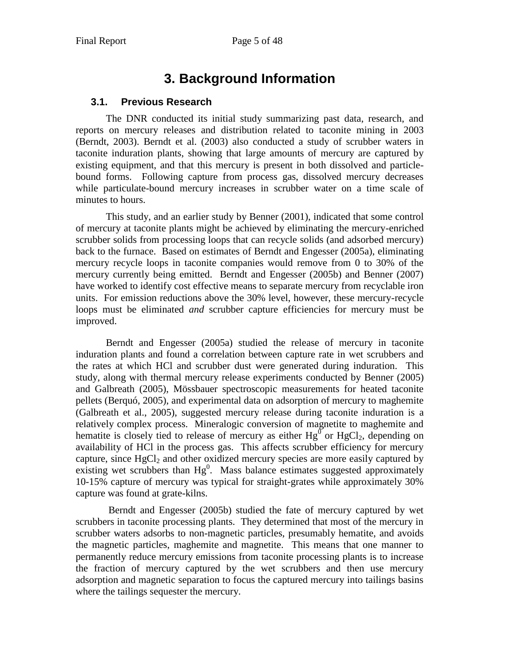# **3. Background Information**

### <span id="page-4-1"></span><span id="page-4-0"></span>**3.1. Previous Research**

The DNR conducted its initial study summarizing past data, research, and reports on mercury releases and distribution related to taconite mining in 2003 (Berndt, 2003). Berndt et al. (2003) also conducted a study of scrubber waters in taconite induration plants, showing that large amounts of mercury are captured by existing equipment, and that this mercury is present in both dissolved and particlebound forms. Following capture from process gas, dissolved mercury decreases while particulate-bound mercury increases in scrubber water on a time scale of minutes to hours.

This study, and an earlier study by Benner (2001), indicated that some control of mercury at taconite plants might be achieved by eliminating the mercury-enriched scrubber solids from processing loops that can recycle solids (and adsorbed mercury) back to the furnace. Based on estimates of Berndt and Engesser (2005a), eliminating mercury recycle loops in taconite companies would remove from 0 to 30% of the mercury currently being emitted. Berndt and Engesser (2005b) and Benner (2007) have worked to identify cost effective means to separate mercury from recyclable iron units. For emission reductions above the 30% level, however, these mercury-recycle loops must be eliminated *and* scrubber capture efficiencies for mercury must be improved.

Berndt and Engesser (2005a) studied the release of mercury in taconite induration plants and found a correlation between capture rate in wet scrubbers and the rates at which HCl and scrubber dust were generated during induration. This study, along with thermal mercury release experiments conducted by Benner (2005) and Galbreath (2005), Mössbauer spectroscopic measurements for heated taconite pellets (Berquó, 2005), and experimental data on adsorption of mercury to maghemite (Galbreath et al., 2005), suggested mercury release during taconite induration is a relatively complex process. Mineralogic conversion of magnetite to maghemite and hematite is closely tied to release of mercury as either  $Hg^0$  or  $HgCl_2$ , depending on availability of HCl in the process gas. This affects scrubber efficiency for mercury capture, since  $HgCl<sub>2</sub>$  and other oxidized mercury species are more easily captured by existing wet scrubbers than  $Hg^0$ . Mass balance estimates suggested approximately 10-15% capture of mercury was typical for straight-grates while approximately 30% capture was found at grate-kilns.

Berndt and Engesser (2005b) studied the fate of mercury captured by wet scrubbers in taconite processing plants. They determined that most of the mercury in scrubber waters adsorbs to non-magnetic particles, presumably hematite, and avoids the magnetic particles, maghemite and magnetite. This means that one manner to permanently reduce mercury emissions from taconite processing plants is to increase the fraction of mercury captured by the wet scrubbers and then use mercury adsorption and magnetic separation to focus the captured mercury into tailings basins where the tailings sequester the mercury.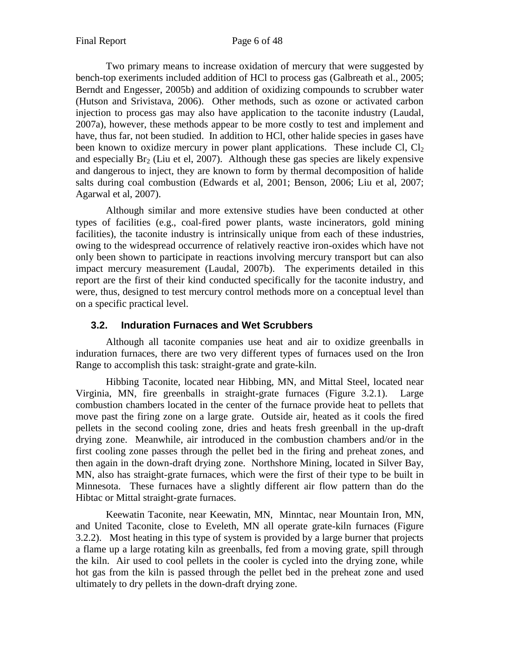Two primary means to increase oxidation of mercury that were suggested by bench-top exeriments included addition of HCl to process gas (Galbreath et al., 2005; Berndt and Engesser, 2005b) and addition of oxidizing compounds to scrubber water (Hutson and Srivistava, 2006). Other methods, such as ozone or activated carbon injection to process gas may also have application to the taconite industry (Laudal, 2007a), however, these methods appear to be more costly to test and implement and have, thus far, not been studied. In addition to HCl, other halide species in gases have been known to oxidize mercury in power plant applications. These include Cl,  $Cl<sub>2</sub>$ and especially  $Br_2$  (Liu et el, 2007). Although these gas species are likely expensive and dangerous to inject, they are known to form by thermal decomposition of halide salts during coal combustion (Edwards et al, 2001; Benson, 2006; Liu et al, 2007; Agarwal et al, 2007).

Although similar and more extensive studies have been conducted at other types of facilities (e.g., coal-fired power plants, waste incinerators, gold mining facilities), the taconite industry is intrinsically unique from each of these industries, owing to the widespread occurrence of relatively reactive iron-oxides which have not only been shown to participate in reactions involving mercury transport but can also impact mercury measurement (Laudal, 2007b). The experiments detailed in this report are the first of their kind conducted specifically for the taconite industry, and were, thus, designed to test mercury control methods more on a conceptual level than on a specific practical level.

## <span id="page-5-0"></span>**3.2. Induration Furnaces and Wet Scrubbers**

Although all taconite companies use heat and air to oxidize greenballs in induration furnaces, there are two very different types of furnaces used on the Iron Range to accomplish this task: straight-grate and grate-kiln.

Hibbing Taconite, located near Hibbing, MN, and Mittal Steel, located near Virginia, MN, fire greenballs in straight-grate furnaces (Figure 3.2.1). Large combustion chambers located in the center of the furnace provide heat to pellets that move past the firing zone on a large grate. Outside air, heated as it cools the fired pellets in the second cooling zone, dries and heats fresh greenball in the up-draft drying zone. Meanwhile, air introduced in the combustion chambers and/or in the first cooling zone passes through the pellet bed in the firing and preheat zones, and then again in the down-draft drying zone. Northshore Mining, located in Silver Bay, MN, also has straight-grate furnaces, which were the first of their type to be built in Minnesota. These furnaces have a slightly different air flow pattern than do the Hibtac or Mittal straight-grate furnaces.

Keewatin Taconite, near Keewatin, MN, Minntac, near Mountain Iron, MN, and United Taconite, close to Eveleth, MN all operate grate-kiln furnaces (Figure 3.2.2). Most heating in this type of system is provided by a large burner that projects a flame up a large rotating kiln as greenballs, fed from a moving grate, spill through the kiln. Air used to cool pellets in the cooler is cycled into the drying zone, while hot gas from the kiln is passed through the pellet bed in the preheat zone and used ultimately to dry pellets in the down-draft drying zone.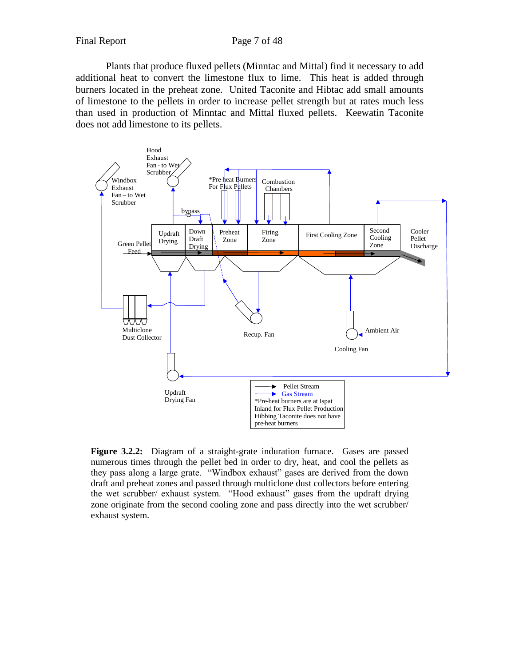Plants that produce fluxed pellets (Minntac and Mittal) find it necessary to add additional heat to convert the limestone flux to lime. This heat is added through burners located in the preheat zone. United Taconite and Hibtac add small amounts of limestone to the pellets in order to increase pellet strength but at rates much less than used in production of Minntac and Mittal fluxed pellets. Keewatin Taconite does not add limestone to its pellets.



**Figure 3.2.2:** Diagram of a straight-grate induration furnace. Gases are passed numerous times through the pellet bed in order to dry, heat, and cool the pellets as they pass along a large grate. "Windbox exhaust" gases are derived from the down draft and preheat zones and passed through multiclone dust collectors before entering the wet scrubber/ exhaust system. "Hood exhaust" gases from the updraft drying zone originate from the second cooling zone and pass directly into the wet scrubber/ exhaust system.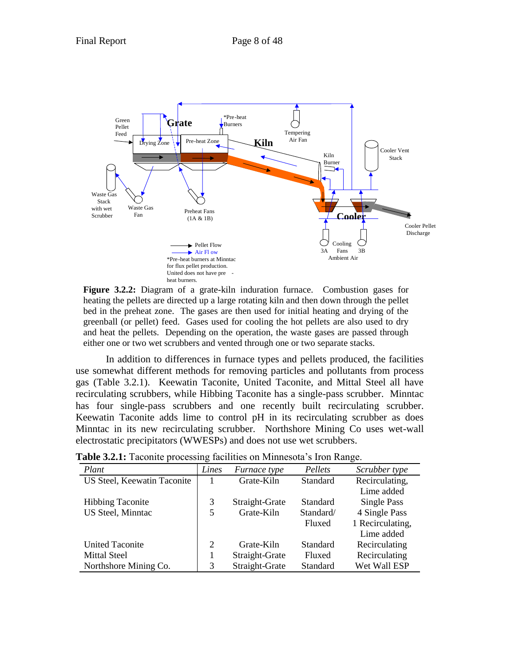

**Figure 3.2.2:** Diagram of a grate-kiln induration furnace. Combustion gases for heating the pellets are directed up a large rotating kiln and then down through the pellet bed in the preheat zone. The gases are then used for initial heating and drying of the greenball (or pellet) feed. Gases used for cooling the hot pellets are also used to dry and heat the pellets. Depending on the operation, the waste gases are passed through either one or two wet scrubbers and vented through one or two separate stacks.

In addition to differences in furnace types and pellets produced, the facilities use somewhat different methods for removing particles and pollutants from process gas (Table 3.2.1). Keewatin Taconite, United Taconite, and Mittal Steel all have recirculating scrubbers, while Hibbing Taconite has a single-pass scrubber. Minntac has four single-pass scrubbers and one recently built recirculating scrubber. Keewatin Taconite adds lime to control pH in its recirculating scrubber as does Minntac in its new recirculating scrubber. Northshore Mining Co uses wet-wall electrostatic precipitators (WWESPs) and does not use wet scrubbers.

| Plant                       | ັ<br>Lines | Furnace type   | Pellets   | Scrubber type    |
|-----------------------------|------------|----------------|-----------|------------------|
| US Steel, Keewatin Taconite |            | Grate-Kiln     | Standard  | Recirculating,   |
|                             |            |                |           | Lime added       |
| <b>Hibbing Taconite</b>     | 3          | Straight-Grate | Standard  | Single Pass      |
| US Steel, Minntac           | 5          | Grate-Kiln     | Standard/ | 4 Single Pass    |
|                             |            |                | Fluxed    | 1 Recirculating, |
|                             |            |                |           | Lime added       |
| <b>United Taconite</b>      | 2          | Grate-Kiln     | Standard  | Recirculating    |
| <b>Mittal Steel</b>         |            | Straight-Grate | Fluxed    | Recirculating    |
| Northshore Mining Co.       | 3          | Straight-Grate | Standard  | Wet Wall ESP     |

**Table 3.2.1:** Taconite processing facilities on Minnesota's Iron Range.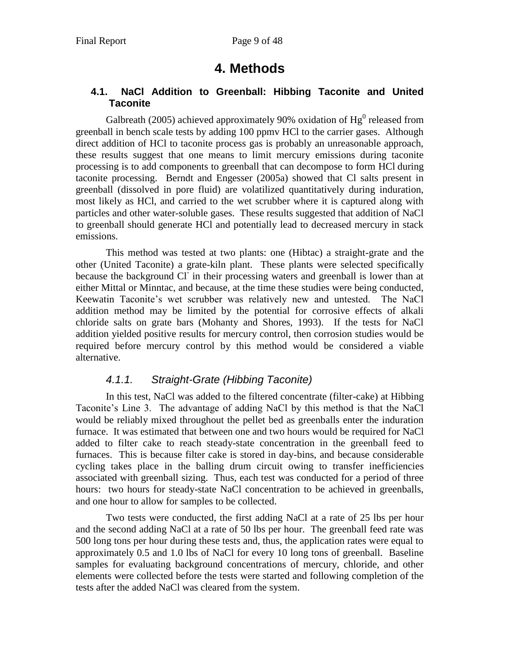# **4. Methods**

## <span id="page-8-1"></span><span id="page-8-0"></span>**4.1. NaCl Addition to Greenball: Hibbing Taconite and United Taconite**

Galbreath (2005) achieved approximately 90% oxidation of  $Hg^0$  released from greenball in bench scale tests by adding 100 ppmv HCl to the carrier gases. Although direct addition of HCl to taconite process gas is probably an unreasonable approach, these results suggest that one means to limit mercury emissions during taconite processing is to add components to greenball that can decompose to form HCl during taconite processing. Berndt and Engesser (2005a) showed that Cl salts present in greenball (dissolved in pore fluid) are volatilized quantitatively during induration, most likely as HCl, and carried to the wet scrubber where it is captured along with particles and other water-soluble gases. These results suggested that addition of NaCl to greenball should generate HCl and potentially lead to decreased mercury in stack emissions.

This method was tested at two plants: one (Hibtac) a straight-grate and the other (United Taconite) a grate-kiln plant. These plants were selected specifically because the background Cl in their processing waters and greenball is lower than at either Mittal or Minntac, and because, at the time these studies were being conducted, Keewatin Taconite's wet scrubber was relatively new and untested. The NaCl addition method may be limited by the potential for corrosive effects of alkali chloride salts on grate bars (Mohanty and Shores, 1993). If the tests for NaCl addition yielded positive results for mercury control, then corrosion studies would be required before mercury control by this method would be considered a viable alternative.

# *4.1.1. Straight-Grate (Hibbing Taconite)*

<span id="page-8-2"></span>In this test, NaCl was added to the filtered concentrate (filter-cake) at Hibbing Taconite's Line 3. The advantage of adding NaCl by this method is that the NaCl would be reliably mixed throughout the pellet bed as greenballs enter the induration furnace. It was estimated that between one and two hours would be required for NaCl added to filter cake to reach steady-state concentration in the greenball feed to furnaces. This is because filter cake is stored in day-bins, and because considerable cycling takes place in the balling drum circuit owing to transfer inefficiencies associated with greenball sizing. Thus, each test was conducted for a period of three hours: two hours for steady-state NaCl concentration to be achieved in greenballs, and one hour to allow for samples to be collected.

Two tests were conducted, the first adding NaCl at a rate of 25 lbs per hour and the second adding NaCl at a rate of 50 lbs per hour. The greenball feed rate was 500 long tons per hour during these tests and, thus, the application rates were equal to approximately 0.5 and 1.0 lbs of NaCl for every 10 long tons of greenball. Baseline samples for evaluating background concentrations of mercury, chloride, and other elements were collected before the tests were started and following completion of the tests after the added NaCl was cleared from the system.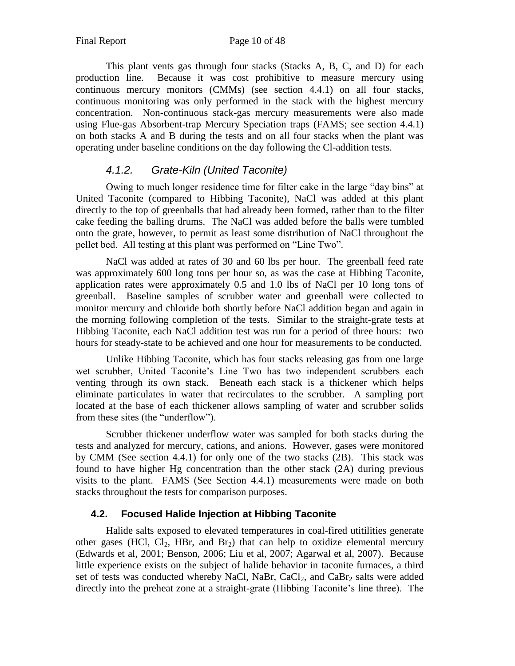This plant vents gas through four stacks (Stacks A, B, C, and D) for each production line. Because it was cost prohibitive to measure mercury using continuous mercury monitors (CMMs) (see section 4.4.1) on all four stacks, continuous monitoring was only performed in the stack with the highest mercury concentration. Non-continuous stack-gas mercury measurements were also made using Flue-gas Absorbent-trap Mercury Speciation traps (FAMS; see section 4.4.1) on both stacks A and B during the tests and on all four stacks when the plant was operating under baseline conditions on the day following the Cl-addition tests.

## *4.1.2. Grate-Kiln (United Taconite)*

<span id="page-9-0"></span>Owing to much longer residence time for filter cake in the large "day bins" at United Taconite (compared to Hibbing Taconite), NaCl was added at this plant directly to the top of greenballs that had already been formed, rather than to the filter cake feeding the balling drums. The NaCl was added before the balls were tumbled onto the grate, however, to permit as least some distribution of NaCl throughout the pellet bed. All testing at this plant was performed on "Line Two".

NaCl was added at rates of 30 and 60 lbs per hour. The greenball feed rate was approximately 600 long tons per hour so, as was the case at Hibbing Taconite, application rates were approximately 0.5 and 1.0 lbs of NaCl per 10 long tons of greenball. Baseline samples of scrubber water and greenball were collected to monitor mercury and chloride both shortly before NaCl addition began and again in the morning following completion of the tests. Similar to the straight-grate tests at Hibbing Taconite, each NaCl addition test was run for a period of three hours: two hours for steady-state to be achieved and one hour for measurements to be conducted.

Unlike Hibbing Taconite, which has four stacks releasing gas from one large wet scrubber, United Taconite's Line Two has two independent scrubbers each venting through its own stack. Beneath each stack is a thickener which helps eliminate particulates in water that recirculates to the scrubber. A sampling port located at the base of each thickener allows sampling of water and scrubber solids from these sites (the "underflow").

Scrubber thickener underflow water was sampled for both stacks during the tests and analyzed for mercury, cations, and anions. However, gases were monitored by CMM (See section 4.4.1) for only one of the two stacks (2B). This stack was found to have higher Hg concentration than the other stack (2A) during previous visits to the plant. FAMS (See Section 4.4.1) measurements were made on both stacks throughout the tests for comparison purposes.

## <span id="page-9-1"></span>**4.2. Focused Halide Injection at Hibbing Taconite**

Halide salts exposed to elevated temperatures in coal-fired utitilities generate other gases (HCl, Cl<sub>2</sub>, HBr, and Br<sub>2</sub>) that can help to oxidize elemental mercury (Edwards et al, 2001; Benson, 2006; Liu et al, 2007; Agarwal et al, 2007). Because little experience exists on the subject of halide behavior in taconite furnaces, a third set of tests was conducted whereby NaCl, NaBr,  $CaCl<sub>2</sub>$ , and  $CaBr<sub>2</sub>$  salts were added directly into the preheat zone at a straight-grate (Hibbing Taconite's line three). The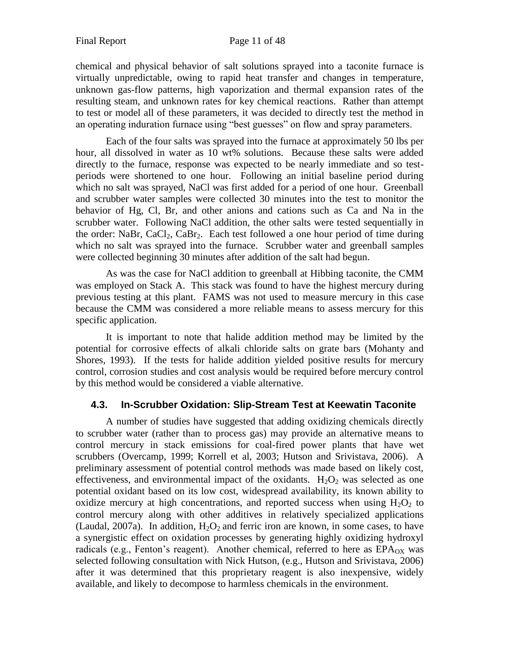chemical and physical behavior of salt solutions sprayed into a taconite furnace is virtually unpredictable, owing to rapid heat transfer and changes in temperature, unknown gas-flow patterns, high vaporization and thermal expansion rates of the resulting steam, and unknown rates for key chemical reactions. Rather than attempt to test or model all of these parameters, it was decided to directly test the method in an operating induration furnace using "best guesses" on flow and spray parameters.

Each of the four salts was sprayed into the furnace at approximately 50 lbs per hour, all dissolved in water as 10 wt% solutions. Because these salts were added directly to the furnace, response was expected to be nearly immediate and so testperiods were shortened to one hour. Following an initial baseline period during which no salt was sprayed, NaCl was first added for a period of one hour. Greenball and scrubber water samples were collected 30 minutes into the test to monitor the behavior of Hg, Cl, Br, and other anions and cations such as Ca and Na in the scrubber water. Following NaCl addition, the other salts were tested sequentially in the order: NaBr, CaCl<sub>2</sub>, CaBr<sub>2</sub>. Each test followed a one hour period of time during which no salt was sprayed into the furnace. Scrubber water and greenball samples were collected beginning 30 minutes after addition of the salt had begun.

As was the case for NaCl addition to greenball at Hibbing taconite, the CMM was employed on Stack A. This stack was found to have the highest mercury during previous testing at this plant. FAMS was not used to measure mercury in this case because the CMM was considered a more reliable means to assess mercury for this specific application.

It is important to note that halide addition method may be limited by the potential for corrosive effects of alkali chloride salts on grate bars (Mohanty and Shores, 1993). If the tests for halide addition yielded positive results for mercury control, corrosion studies and cost analysis would be required before mercury control by this method would be considered a viable alternative.

#### <span id="page-10-0"></span>**4.3. In-Scrubber Oxidation: Slip-Stream Test at Keewatin Taconite**

A number of studies have suggested that adding oxidizing chemicals directly to scrubber water (rather than to process gas) may provide an alternative means to control mercury in stack emissions for coal-fired power plants that have wet scrubbers (Overcamp, 1999; Korrell et al, 2003; Hutson and Srivistava, 2006). A preliminary assessment of potential control methods was made based on likely cost, effectiveness, and environmental impact of the oxidants.  $H_2O_2$  was selected as one potential oxidant based on its low cost, widespread availability, its known ability to oxidize mercury at high concentrations, and reported success when using  $H_2O_2$  to control mercury along with other additives in relatively specialized applications (Laudal, 2007a). In addition,  $H_2O_2$  and ferric iron are known, in some cases, to have a synergistic effect on oxidation processes by generating highly oxidizing hydroxyl radicals (e.g., Fenton's reagent). Another chemical, referred to here as  $EPA<sub>OX</sub>$  was selected following consultation with Nick Hutson, (e.g., Hutson and Srivistava, 2006) after it was determined that this proprietary reagent is also inexpensive, widely available, and likely to decompose to harmless chemicals in the environment.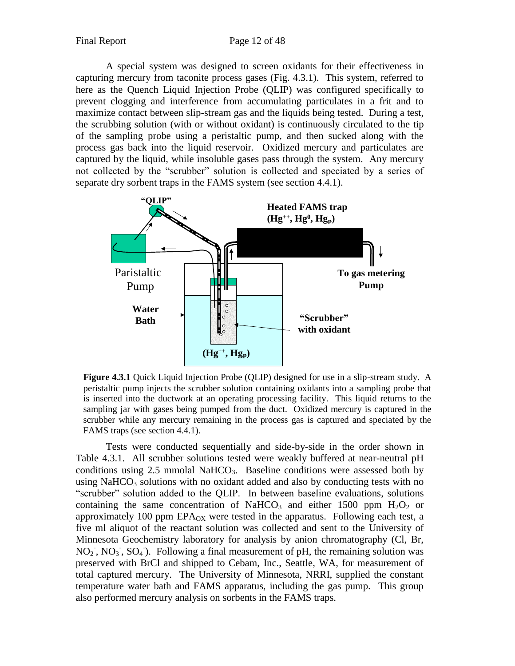A special system was designed to screen oxidants for their effectiveness in capturing mercury from taconite process gases (Fig. 4.3.1). This system, referred to here as the Quench Liquid Injection Probe (QLIP) was configured specifically to prevent clogging and interference from accumulating particulates in a frit and to maximize contact between slip-stream gas and the liquids being tested. During a test, the scrubbing solution (with or without oxidant) is continuously circulated to the tip of the sampling probe using a peristaltic pump, and then sucked along with the process gas back into the liquid reservoir. Oxidized mercury and particulates are captured by the liquid, while insoluble gases pass through the system. Any mercury not collected by the "scrubber" solution is collected and speciated by a series of separate dry sorbent traps in the FAMS system (see section 4.4.1).



**Figure 4.3.1** Quick Liquid Injection Probe (QLIP) designed for use in a slip-stream study. A peristaltic pump injects the scrubber solution containing oxidants into a sampling probe that is inserted into the ductwork at an operating processing facility. This liquid returns to the sampling jar with gases being pumped from the duct. Oxidized mercury is captured in the scrubber while any mercury remaining in the process gas is captured and speciated by the FAMS traps (see section 4.4.1).

Tests were conducted sequentially and side-by-side in the order shown in Table 4.3.1. All scrubber solutions tested were weakly buffered at near-neutral pH conditions using  $2.5$  mmolal NaHCO<sub>3</sub>. Baseline conditions were assessed both by using NaHCO<sub>3</sub> solutions with no oxidant added and also by conducting tests with no "scrubber" solution added to the QLIP. In between baseline evaluations, solutions containing the same concentration of NaHCO<sub>3</sub> and either 1500 ppm  $H_2O_2$  or approximately 100 ppm  $EPA_{OX}$  were tested in the apparatus. Following each test, a five ml aliquot of the reactant solution was collected and sent to the University of Minnesota Geochemistry laboratory for analysis by anion chromatography (Cl, Br,  $NO<sub>2</sub>$ ,  $NO<sub>3</sub>$ ,  $SO<sub>4</sub>$ ). Following a final measurement of pH, the remaining solution was preserved with BrCl and shipped to Cebam, Inc., Seattle, WA, for measurement of total captured mercury. The University of Minnesota, NRRI, supplied the constant temperature water bath and FAMS apparatus, including the gas pump. This group also performed mercury analysis on sorbents in the FAMS traps.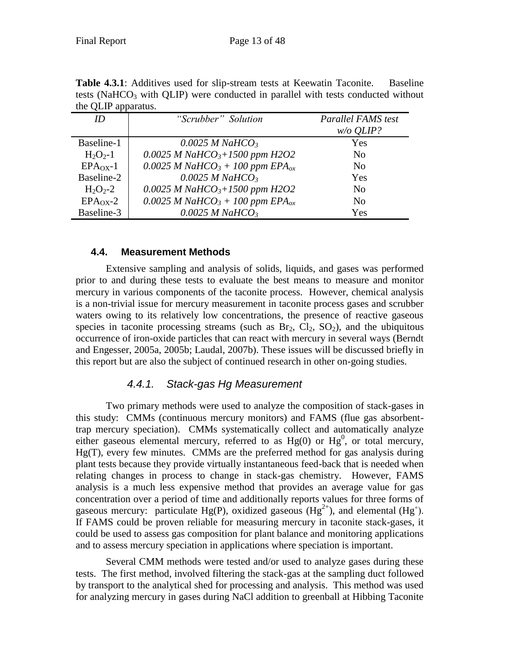| uit QLII apparatus. |                                                         |                           |  |  |  |  |  |
|---------------------|---------------------------------------------------------|---------------------------|--|--|--|--|--|
| ID                  | "Scrubber" Solution                                     | <b>Parallel FAMS</b> test |  |  |  |  |  |
|                     |                                                         | $w/o$ <i>QLIP?</i>        |  |  |  |  |  |
| Baseline-1          | $0.0025$ M NaHCO <sub>3</sub>                           | Yes                       |  |  |  |  |  |
| $H_2O_2-1$          | 0.0025 M NaHCO <sub>3</sub> +1500 ppm H2O2              | N <sub>0</sub>            |  |  |  |  |  |
| $EPAOX$ -1          | 0.0025 M NaHCO <sub>3</sub> + 100 ppm EPA <sub>ox</sub> | No                        |  |  |  |  |  |
| Baseline-2          | $0.0025$ M NaHCO <sub>3</sub>                           | <b>Yes</b>                |  |  |  |  |  |
| $H_2O_2 - 2$        | 0.0025 M NaHCO <sub>3</sub> +1500 ppm H2O2              | N <sub>0</sub>            |  |  |  |  |  |
| $EPAOX - 2$         | 0.0025 M NaHCO <sub>3</sub> + 100 ppm EPA <sub>ox</sub> | N <sub>0</sub>            |  |  |  |  |  |
| Baseline-3          | $0.0025$ M NaHCO <sub>3</sub>                           | Yes                       |  |  |  |  |  |

Table 4.3.1: Additives used for slip-stream tests at Keewatin Taconite. Baseline tests (NaHCO<sub>3</sub> with QLIP) were conducted in parallel with tests conducted without the OLIP apparatus.

### <span id="page-12-0"></span>**4.4. Measurement Methods**

Extensive sampling and analysis of solids, liquids, and gases was performed prior to and during these tests to evaluate the best means to measure and monitor mercury in various components of the taconite process. However, chemical analysis is a non-trivial issue for mercury measurement in taconite process gases and scrubber waters owing to its relatively low concentrations, the presence of reactive gaseous species in taconite processing streams (such as  $Br_2$ ,  $Cl_2$ ,  $SO_2$ ), and the ubiquitous occurrence of iron-oxide particles that can react with mercury in several ways (Berndt and Engesser, 2005a, 2005b; Laudal, 2007b). These issues will be discussed briefly in this report but are also the subject of continued research in other on-going studies.

## *4.4.1. Stack-gas Hg Measurement*

<span id="page-12-1"></span>Two primary methods were used to analyze the composition of stack-gases in this study: CMMs (continuous mercury monitors) and FAMS (flue gas absorbenttrap mercury speciation). CMMs systematically collect and automatically analyze either gaseous elemental mercury, referred to as  $Hg(0)$  or  $Hg^{0}$ , or total mercury, Hg(T), every few minutes. CMMs are the preferred method for gas analysis during plant tests because they provide virtually instantaneous feed-back that is needed when relating changes in process to change in stack-gas chemistry. However, FAMS analysis is a much less expensive method that provides an average value for gas concentration over a period of time and additionally reports values for three forms of gaseous mercury: particulate Hg(P), oxidized gaseous (Hg<sup>2+</sup>), and elemental (Hg<sup>°</sup>). If FAMS could be proven reliable for measuring mercury in taconite stack-gases, it could be used to assess gas composition for plant balance and monitoring applications and to assess mercury speciation in applications where speciation is important.

Several CMM methods were tested and/or used to analyze gases during these tests. The first method, involved filtering the stack-gas at the sampling duct followed by transport to the analytical shed for processing and analysis. This method was used for analyzing mercury in gases during NaCl addition to greenball at Hibbing Taconite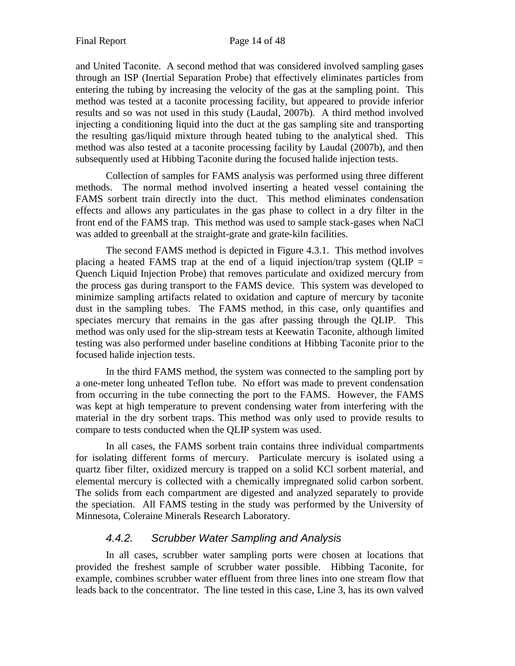and United Taconite. A second method that was considered involved sampling gases through an ISP (Inertial Separation Probe) that effectively eliminates particles from entering the tubing by increasing the velocity of the gas at the sampling point. This method was tested at a taconite processing facility, but appeared to provide inferior results and so was not used in this study (Laudal, 2007b). A third method involved injecting a conditioning liquid into the duct at the gas sampling site and transporting the resulting gas/liquid mixture through heated tubing to the analytical shed. This method was also tested at a taconite processing facility by Laudal (2007b), and then subsequently used at Hibbing Taconite during the focused halide injection tests.

Collection of samples for FAMS analysis was performed using three different methods. The normal method involved inserting a heated vessel containing the FAMS sorbent train directly into the duct. This method eliminates condensation effects and allows any particulates in the gas phase to collect in a dry filter in the front end of the FAMS trap. This method was used to sample stack-gases when NaCl was added to greenball at the straight-grate and grate-kiln facilities.

The second FAMS method is depicted in Figure 4.3.1. This method involves placing a heated FAMS trap at the end of a liquid injection/trap system (QLIP  $=$ Quench Liquid Injection Probe) that removes particulate and oxidized mercury from the process gas during transport to the FAMS device. This system was developed to minimize sampling artifacts related to oxidation and capture of mercury by taconite dust in the sampling tubes. The FAMS method, in this case, only quantifies and speciates mercury that remains in the gas after passing through the QLIP. This method was only used for the slip-stream tests at Keewatin Taconite, although limited testing was also performed under baseline conditions at Hibbing Taconite prior to the focused halide injection tests.

In the third FAMS method, the system was connected to the sampling port by a one-meter long unheated Teflon tube. No effort was made to prevent condensation from occurring in the tube connecting the port to the FAMS. However, the FAMS was kept at high temperature to prevent condensing water from interfering with the material in the dry sorbent traps. This method was only used to provide results to compare to tests conducted when the QLIP system was used.

In all cases, the FAMS sorbent train contains three individual compartments for isolating different forms of mercury. Particulate mercury is isolated using a quartz fiber filter, oxidized mercury is trapped on a solid KCl sorbent material, and elemental mercury is collected with a chemically impregnated solid carbon sorbent. The solids from each compartment are digested and analyzed separately to provide the speciation. All FAMS testing in the study was performed by the University of Minnesota, Coleraine Minerals Research Laboratory.

# *4.4.2. Scrubber Water Sampling and Analysis*

<span id="page-13-0"></span>In all cases, scrubber water sampling ports were chosen at locations that provided the freshest sample of scrubber water possible. Hibbing Taconite, for example, combines scrubber water effluent from three lines into one stream flow that leads back to the concentrator. The line tested in this case, Line 3, has its own valved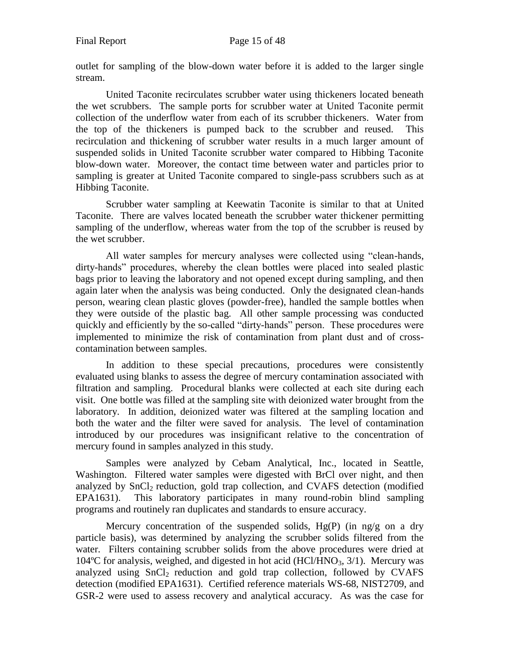outlet for sampling of the blow-down water before it is added to the larger single stream.

United Taconite recirculates scrubber water using thickeners located beneath the wet scrubbers. The sample ports for scrubber water at United Taconite permit collection of the underflow water from each of its scrubber thickeners. Water from the top of the thickeners is pumped back to the scrubber and reused. This recirculation and thickening of scrubber water results in a much larger amount of suspended solids in United Taconite scrubber water compared to Hibbing Taconite blow-down water. Moreover, the contact time between water and particles prior to sampling is greater at United Taconite compared to single-pass scrubbers such as at Hibbing Taconite.

Scrubber water sampling at Keewatin Taconite is similar to that at United Taconite. There are valves located beneath the scrubber water thickener permitting sampling of the underflow, whereas water from the top of the scrubber is reused by the wet scrubber.

All water samples for mercury analyses were collected using "clean-hands, dirty-hands" procedures, whereby the clean bottles were placed into sealed plastic bags prior to leaving the laboratory and not opened except during sampling, and then again later when the analysis was being conducted. Only the designated clean-hands person, wearing clean plastic gloves (powder-free), handled the sample bottles when they were outside of the plastic bag. All other sample processing was conducted quickly and efficiently by the so-called "dirty-hands" person. These procedures were implemented to minimize the risk of contamination from plant dust and of crosscontamination between samples.

In addition to these special precautions, procedures were consistently evaluated using blanks to assess the degree of mercury contamination associated with filtration and sampling. Procedural blanks were collected at each site during each visit. One bottle was filled at the sampling site with deionized water brought from the laboratory. In addition, deionized water was filtered at the sampling location and both the water and the filter were saved for analysis. The level of contamination introduced by our procedures was insignificant relative to the concentration of mercury found in samples analyzed in this study.

Samples were analyzed by Cebam Analytical, Inc., located in Seattle, Washington. Filtered water samples were digested with BrCl over night, and then analyzed by SnCl<sub>2</sub> reduction, gold trap collection, and CVAFS detection (modified EPA1631). This laboratory participates in many round-robin blind sampling programs and routinely ran duplicates and standards to ensure accuracy.

Mercury concentration of the suspended solids,  $Hg(P)$  (in ng/g on a dry particle basis), was determined by analyzing the scrubber solids filtered from the water. Filters containing scrubber solids from the above procedures were dried at  $104^{\circ}$ C for analysis, weighed, and digested in hot acid (HCl/HNO<sub>3</sub>, 3/1). Mercury was analyzed using  $SnCl<sub>2</sub>$  reduction and gold trap collection, followed by CVAFS detection (modified EPA1631). Certified reference materials WS-68, NIST2709, and GSR-2 were used to assess recovery and analytical accuracy. As was the case for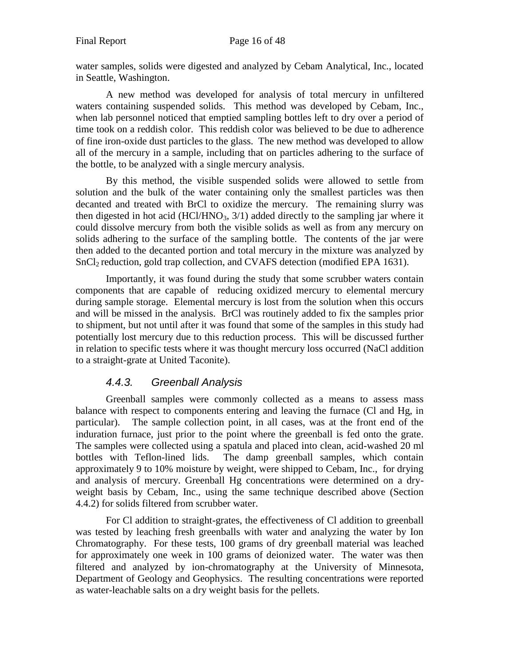water samples, solids were digested and analyzed by Cebam Analytical, Inc., located in Seattle, Washington.

A new method was developed for analysis of total mercury in unfiltered waters containing suspended solids. This method was developed by Cebam, Inc., when lab personnel noticed that emptied sampling bottles left to dry over a period of time took on a reddish color. This reddish color was believed to be due to adherence of fine iron-oxide dust particles to the glass. The new method was developed to allow all of the mercury in a sample, including that on particles adhering to the surface of the bottle, to be analyzed with a single mercury analysis.

By this method, the visible suspended solids were allowed to settle from solution and the bulk of the water containing only the smallest particles was then decanted and treated with BrCl to oxidize the mercury. The remaining slurry was then digested in hot acid (HCl/HNO<sub>3</sub>,  $3/1$ ) added directly to the sampling jar where it could dissolve mercury from both the visible solids as well as from any mercury on solids adhering to the surface of the sampling bottle. The contents of the jar were then added to the decanted portion and total mercury in the mixture was analyzed by SnCl<sub>2</sub> reduction, gold trap collection, and CVAFS detection (modified EPA 1631).

Importantly, it was found during the study that some scrubber waters contain components that are capable of reducing oxidized mercury to elemental mercury during sample storage. Elemental mercury is lost from the solution when this occurs and will be missed in the analysis. BrCl was routinely added to fix the samples prior to shipment, but not until after it was found that some of the samples in this study had potentially lost mercury due to this reduction process. This will be discussed further in relation to specific tests where it was thought mercury loss occurred (NaCl addition to a straight-grate at United Taconite).

#### *4.4.3. Greenball Analysis*

<span id="page-15-0"></span>Greenball samples were commonly collected as a means to assess mass balance with respect to components entering and leaving the furnace (Cl and Hg, in particular). The sample collection point, in all cases, was at the front end of the induration furnace, just prior to the point where the greenball is fed onto the grate. The samples were collected using a spatula and placed into clean, acid-washed 20 ml bottles with Teflon-lined lids. The damp greenball samples, which contain approximately 9 to 10% moisture by weight, were shipped to Cebam, Inc., for drying and analysis of mercury. Greenball Hg concentrations were determined on a dryweight basis by Cebam, Inc., using the same technique described above (Section 4.4.2) for solids filtered from scrubber water.

For Cl addition to straight-grates, the effectiveness of Cl addition to greenball was tested by leaching fresh greenballs with water and analyzing the water by Ion Chromatography. For these tests, 100 grams of dry greenball material was leached for approximately one week in 100 grams of deionized water. The water was then filtered and analyzed by ion-chromatography at the University of Minnesota, Department of Geology and Geophysics. The resulting concentrations were reported as water-leachable salts on a dry weight basis for the pellets.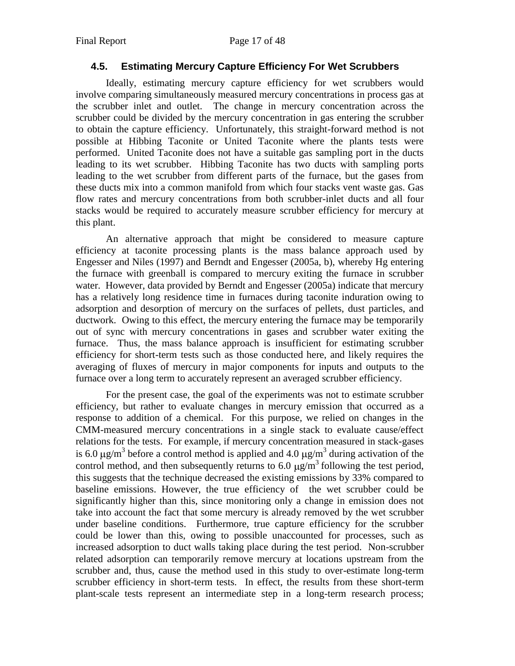### <span id="page-16-0"></span>**4.5. Estimating Mercury Capture Efficiency For Wet Scrubbers**

Ideally, estimating mercury capture efficiency for wet scrubbers would involve comparing simultaneously measured mercury concentrations in process gas at the scrubber inlet and outlet. The change in mercury concentration across the scrubber could be divided by the mercury concentration in gas entering the scrubber to obtain the capture efficiency. Unfortunately, this straight-forward method is not possible at Hibbing Taconite or United Taconite where the plants tests were performed. United Taconite does not have a suitable gas sampling port in the ducts leading to its wet scrubber. Hibbing Taconite has two ducts with sampling ports leading to the wet scrubber from different parts of the furnace, but the gases from these ducts mix into a common manifold from which four stacks vent waste gas. Gas flow rates and mercury concentrations from both scrubber-inlet ducts and all four stacks would be required to accurately measure scrubber efficiency for mercury at this plant.

An alternative approach that might be considered to measure capture efficiency at taconite processing plants is the mass balance approach used by Engesser and Niles (1997) and Berndt and Engesser (2005a, b), whereby Hg entering the furnace with greenball is compared to mercury exiting the furnace in scrubber water. However, data provided by Berndt and Engesser (2005a) indicate that mercury has a relatively long residence time in furnaces during taconite induration owing to adsorption and desorption of mercury on the surfaces of pellets, dust particles, and ductwork. Owing to this effect, the mercury entering the furnace may be temporarily out of sync with mercury concentrations in gases and scrubber water exiting the furnace. Thus, the mass balance approach is insufficient for estimating scrubber efficiency for short-term tests such as those conducted here, and likely requires the averaging of fluxes of mercury in major components for inputs and outputs to the furnace over a long term to accurately represent an averaged scrubber efficiency.

For the present case, the goal of the experiments was not to estimate scrubber efficiency, but rather to evaluate changes in mercury emission that occurred as a response to addition of a chemical. For this purpose, we relied on changes in the CMM-measured mercury concentrations in a single stack to evaluate cause/effect relations for the tests. For example, if mercury concentration measured in stack-gases is 6.0  $\mu$ g/m<sup>3</sup> before a control method is applied and 4.0  $\mu$ g/m<sup>3</sup> during activation of the control method, and then subsequently returns to 6.0  $\mu$ g/m<sup>3</sup> following the test period, this suggests that the technique decreased the existing emissions by 33% compared to baseline emissions. However, the true efficiency of the wet scrubber could be significantly higher than this, since monitoring only a change in emission does not take into account the fact that some mercury is already removed by the wet scrubber under baseline conditions. Furthermore, true capture efficiency for the scrubber could be lower than this, owing to possible unaccounted for processes, such as increased adsorption to duct walls taking place during the test period. Non-scrubber related adsorption can temporarily remove mercury at locations upstream from the scrubber and, thus, cause the method used in this study to over-estimate long-term scrubber efficiency in short-term tests. In effect, the results from these short-term plant-scale tests represent an intermediate step in a long-term research process;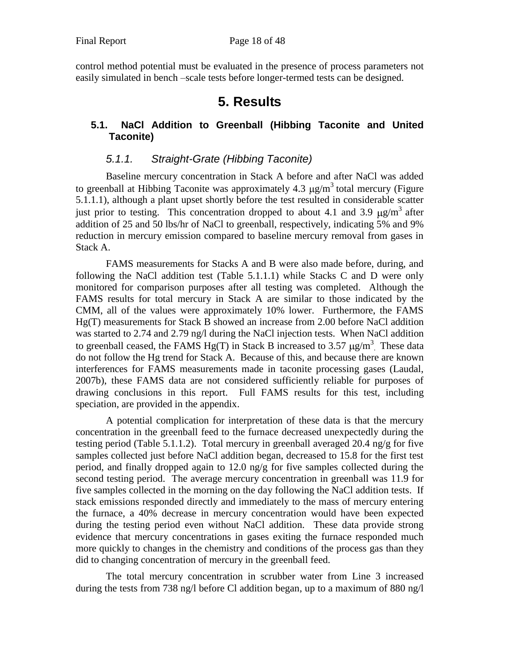<span id="page-17-0"></span>control method potential must be evaluated in the presence of process parameters not easily simulated in bench –scale tests before longer-termed tests can be designed.

# **5. Results**

# <span id="page-17-1"></span>**5.1. NaCl Addition to Greenball (Hibbing Taconite and United Taconite)**

# *5.1.1. Straight-Grate (Hibbing Taconite)*

<span id="page-17-2"></span>Baseline mercury concentration in Stack A before and after NaCl was added to greenball at Hibbing Taconite was approximately 4.3  $\mu$ g/m<sup>3</sup> total mercury (Figure 5.1.1.1), although a plant upset shortly before the test resulted in considerable scatter just prior to testing. This concentration dropped to about 4.1 and 3.9  $\mu$ g/m<sup>3</sup> after addition of 25 and 50 lbs/hr of NaCl to greenball, respectively, indicating 5% and 9% reduction in mercury emission compared to baseline mercury removal from gases in Stack A.

FAMS measurements for Stacks A and B were also made before, during, and following the NaCl addition test (Table 5.1.1.1) while Stacks C and D were only monitored for comparison purposes after all testing was completed. Although the FAMS results for total mercury in Stack A are similar to those indicated by the CMM, all of the values were approximately 10% lower. Furthermore, the FAMS Hg(T) measurements for Stack B showed an increase from 2.00 before NaCl addition was started to 2.74 and 2.79 ng/l during the NaCl injection tests. When NaCl addition to greenball ceased, the FAMS Hg(T) in Stack B increased to 3.57  $\mu$ g/m<sup>3</sup>. These data do not follow the Hg trend for Stack A. Because of this, and because there are known interferences for FAMS measurements made in taconite processing gases (Laudal, 2007b), these FAMS data are not considered sufficiently reliable for purposes of drawing conclusions in this report. Full FAMS results for this test, including speciation, are provided in the appendix.

A potential complication for interpretation of these data is that the mercury concentration in the greenball feed to the furnace decreased unexpectedly during the testing period (Table 5.1.1.2). Total mercury in greenball averaged 20.4 ng/g for five samples collected just before NaCl addition began, decreased to 15.8 for the first test period, and finally dropped again to 12.0 ng/g for five samples collected during the second testing period. The average mercury concentration in greenball was 11.9 for five samples collected in the morning on the day following the NaCl addition tests. If stack emissions responded directly and immediately to the mass of mercury entering the furnace, a 40% decrease in mercury concentration would have been expected during the testing period even without NaCl addition. These data provide strong evidence that mercury concentrations in gases exiting the furnace responded much more quickly to changes in the chemistry and conditions of the process gas than they did to changing concentration of mercury in the greenball feed.

The total mercury concentration in scrubber water from Line 3 increased during the tests from 738 ng/l before Cl addition began, up to a maximum of 880 ng/l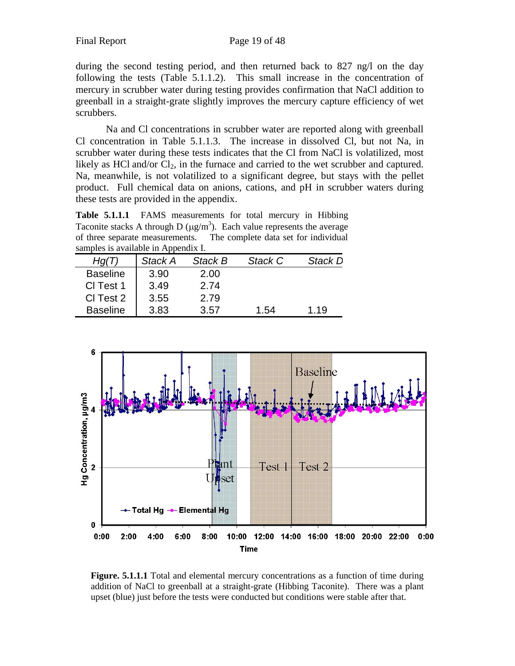during the second testing period, and then returned back to 827 ng/l on the day following the tests (Table 5.1.1.2). This small increase in the concentration of mercury in scrubber water during testing provides confirmation that NaCl addition to greenball in a straight-grate slightly improves the mercury capture efficiency of wet scrubbers.

Na and Cl concentrations in scrubber water are reported along with greenball Cl concentration in Table 5.1.1.3. The increase in dissolved Cl, but not Na, in scrubber water during these tests indicates that the Cl from NaCl is volatilized, most likely as HCl and/or  $Cl_2$ , in the furnace and carried to the wet scrubber and captured. Na, meanwhile, is not volatilized to a significant degree, but stays with the pellet product. Full chemical data on anions, cations, and pH in scrubber waters during these tests are provided in the appendix.

**Table 5.1.1.1** FAMS measurements for total mercury in Hibbing Taconite stacks A through D ( $\mu$ g/m<sup>3</sup>). Each value represents the average of three separate measurements. The complete data set for individual samples is available in Appendix I.

| Hq(T)           | Stack A | Stack B | Stack C | Stack D |
|-----------------|---------|---------|---------|---------|
| <b>Baseline</b> | 3.90    | 2.00    |         |         |
| CI Test 1       | 3.49    | 2.74    |         |         |
| CI Test 2       | 3.55    | 2.79    |         |         |
| <b>Baseline</b> | 3.83    | 3.57    | 1.54    | 1.19    |



**Figure. 5.1.1.1** Total and elemental mercury concentrations as a function of time during addition of NaCl to greenball at a straight-grate (Hibbing Taconite). There was a plant upset (blue) just before the tests were conducted but conditions were stable after that.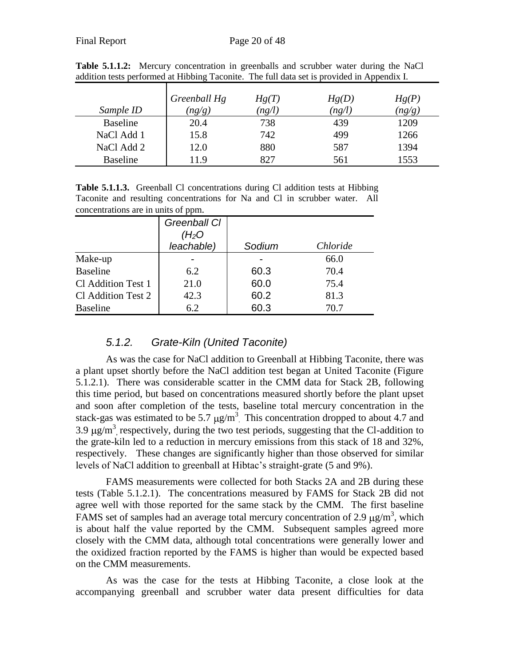|                 | Greenball Hg | Hg(T)  | Hg(D)  | Hg(P)  |
|-----------------|--------------|--------|--------|--------|
| Sample ID       | (ng/g)       | (ng/l) | (ng/l) | (ng/g) |
| <b>Baseline</b> | 20.4         | 738    | 439    | 1209   |
| NaCl Add 1      | 15.8         | 742    | 499    | 1266   |
| NaCl Add 2      | 12.0         | 880    | 587    | 1394   |
| <b>Baseline</b> | 11.9         | 827    | 561    | 1553   |

**Table 5.1.1.2:** Mercury concentration in greenballs and scrubber water during the NaCl addition tests performed at Hibbing Taconite. The full data set is provided in Appendix I.

Table 5.1.1.3. Greenball Cl concentrations during Cl addition tests at Hibbing Taconite and resulting concentrations for Na and Cl in scrubber water. All concentrations are in units of ppm.

|                    | Greenball CI<br>( $H_2O$<br>leachable) | Sodium                   | Chloride |
|--------------------|----------------------------------------|--------------------------|----------|
| Make-up            |                                        | $\overline{\phantom{0}}$ | 66.0     |
| <b>Baseline</b>    | 6.2                                    | 60.3                     | 70.4     |
| Cl Addition Test 1 | 21.0                                   | 60.0                     | 75.4     |
| Cl Addition Test 2 | 42.3                                   | 60.2                     | 81.3     |
| <b>Baseline</b>    | 6.2                                    | 60.3                     | 70.7     |

## *5.1.2. Grate-Kiln (United Taconite)*

<span id="page-19-0"></span>As was the case for NaCl addition to Greenball at Hibbing Taconite, there was a plant upset shortly before the NaCl addition test began at United Taconite (Figure 5.1.2.1). There was considerable scatter in the CMM data for Stack 2B, following this time period, but based on concentrations measured shortly before the plant upset and soon after completion of the tests, baseline total mercury concentration in the stack-gas was estimated to be 5.7  $\mu$ g/m<sup>3</sup>. This concentration dropped to about 4.7 and 3.9  $\mu$ g/m<sup>3</sup>, respectively, during the two test periods, suggesting that the Cl-addition to the grate-kiln led to a reduction in mercury emissions from this stack of 18 and 32%, respectively. These changes are significantly higher than those observed for similar levels of NaCl addition to greenball at Hibtac's straight-grate (5 and 9%).

FAMS measurements were collected for both Stacks 2A and 2B during these tests (Table 5.1.2.1). The concentrations measured by FAMS for Stack 2B did not agree well with those reported for the same stack by the CMM. The first baseline FAMS set of samples had an average total mercury concentration of 2.9  $\mu$ g/m<sup>3</sup>, which is about half the value reported by the CMM. Subsequent samples agreed more closely with the CMM data, although total concentrations were generally lower and the oxidized fraction reported by the FAMS is higher than would be expected based on the CMM measurements.

As was the case for the tests at Hibbing Taconite, a close look at the accompanying greenball and scrubber water data present difficulties for data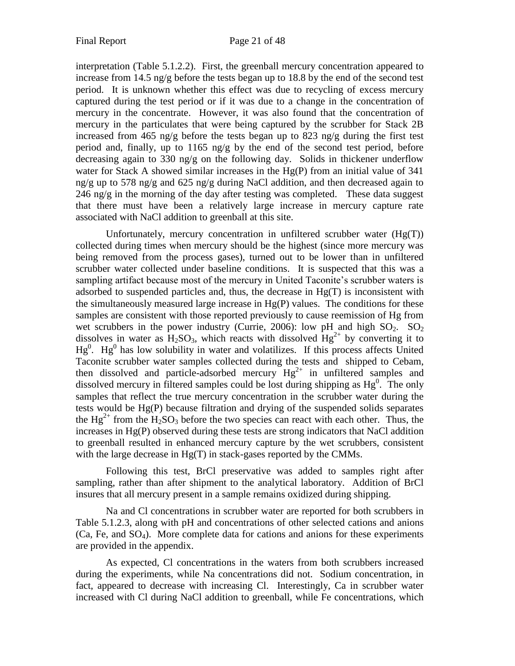interpretation (Table 5.1.2.2). First, the greenball mercury concentration appeared to increase from 14.5 ng/g before the tests began up to 18.8 by the end of the second test period. It is unknown whether this effect was due to recycling of excess mercury captured during the test period or if it was due to a change in the concentration of mercury in the concentrate. However, it was also found that the concentration of mercury in the particulates that were being captured by the scrubber for Stack 2B increased from 465 ng/g before the tests began up to 823 ng/g during the first test period and, finally, up to 1165 ng/g by the end of the second test period, before decreasing again to 330 ng/g on the following day. Solids in thickener underflow water for Stack A showed similar increases in the Hg(P) from an initial value of 341 ng/g up to 578 ng/g and 625 ng/g during NaCl addition, and then decreased again to  $246$  ng/g in the morning of the day after testing was completed. These data suggest that there must have been a relatively large increase in mercury capture rate associated with NaCl addition to greenball at this site.

Unfortunately, mercury concentration in unfiltered scrubber water (Hg(T)) collected during times when mercury should be the highest (since more mercury was being removed from the process gases), turned out to be lower than in unfiltered scrubber water collected under baseline conditions. It is suspected that this was a sampling artifact because most of the mercury in United Taconite's scrubber waters is adsorbed to suspended particles and, thus, the decrease in  $Hg(T)$  is inconsistent with the simultaneously measured large increase in  $Hg(P)$  values. The conditions for these samples are consistent with those reported previously to cause reemission of Hg from wet scrubbers in the power industry (Currie, 2006): low pH and high  $SO_2$ .  $SO_2$ dissolves in water as  $H_2SO_3$ , which reacts with dissolved  $Hg^{2+}$  by converting it to  $Hg<sup>0</sup>$ .  $Hg<sup>0</sup>$  has low solubility in water and volatilizes. If this process affects United Taconite scrubber water samples collected during the tests and shipped to Cebam, then dissolved and particle-adsorbed mercury  $Hg^{2+}$  in unfiltered samples and dissolved mercury in filtered samples could be lost during shipping as  $Hg^0$ . The only samples that reflect the true mercury concentration in the scrubber water during the tests would be Hg(P) because filtration and drying of the suspended solids separates the  $Hg^{2+}$  from the  $H_2SO_3$  before the two species can react with each other. Thus, the increases in Hg(P) observed during these tests are strong indicators that NaCl addition to greenball resulted in enhanced mercury capture by the wet scrubbers, consistent with the large decrease in Hg(T) in stack-gases reported by the CMMs.

Following this test, BrCl preservative was added to samples right after sampling, rather than after shipment to the analytical laboratory. Addition of BrCl insures that all mercury present in a sample remains oxidized during shipping.

Na and Cl concentrations in scrubber water are reported for both scrubbers in Table 5.1.2.3, along with pH and concentrations of other selected cations and anions  $(Ca, Fe, and SO<sub>4</sub>)$ . More complete data for cations and anions for these experiments are provided in the appendix.

As expected, Cl concentrations in the waters from both scrubbers increased during the experiments, while Na concentrations did not. Sodium concentration, in fact, appeared to decrease with increasing Cl. Interestingly, Ca in scrubber water increased with Cl during NaCl addition to greenball, while Fe concentrations, which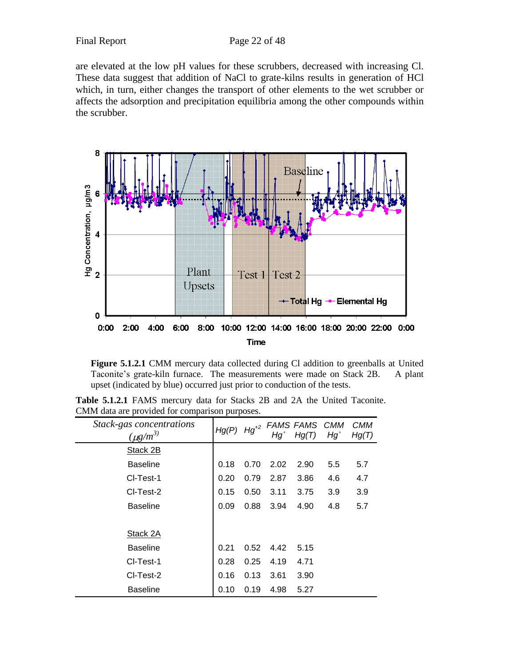are elevated at the low pH values for these scrubbers, decreased with increasing Cl. These data suggest that addition of NaCl to grate-kilns results in generation of HCl which, in turn, either changes the transport of other elements to the wet scrubber or affects the adsorption and precipitation equilibria among the other compounds within the scrubber.



Figure 5.1.2.1 CMM mercury data collected during Cl addition to greenballs at United Taconite's grate-kiln furnace. The measurements were made on Stack 2B. A plant upset (indicated by blue) occurred just prior to conduction of the tests.

**Table 5.1.2.1** FAMS mercury data for Stacks 2B and 2A the United Taconite. CMM data are provided for comparison purposes.

| Stack-gas concentrations<br>$(\mu g/m^3)$ | Hg(P) | $Hg^{+2}$ | Hg`  | FAMS FAMS CMM<br>Hg(T) | $Hg^{\circ}$ | <i>CMM</i><br>Hg(T) |
|-------------------------------------------|-------|-----------|------|------------------------|--------------|---------------------|
| Stack 2B                                  |       |           |      |                        |              |                     |
| <b>Baseline</b>                           | 0.18  | 0.70      | 2.02 | 2.90                   | 5.5          | 5.7                 |
| CI-Test-1                                 | 0.20  | 0.79      | 2.87 | 3.86                   | 4.6          | 4.7                 |
| CI-Test-2                                 | 0.15  | 0.50      | 3.11 | 3.75                   | 3.9          | 3.9                 |
| <b>Baseline</b>                           | 0.09  | 0.88      | 3.94 | 4.90                   | 4.8          | 5.7                 |
|                                           |       |           |      |                        |              |                     |
| Stack 2A                                  |       |           |      |                        |              |                     |
| <b>Baseline</b>                           | 0.21  | 0.52      | 4.42 | 5.15                   |              |                     |
| CI-Test-1                                 | 0.28  | 0.25      | 4.19 | 4.71                   |              |                     |
| CI-Test-2                                 | 0.16  | 0.13      | 3.61 | 3.90                   |              |                     |
| <b>Baseline</b>                           | 0.10  | 0.19      | 4.98 | 5.27                   |              |                     |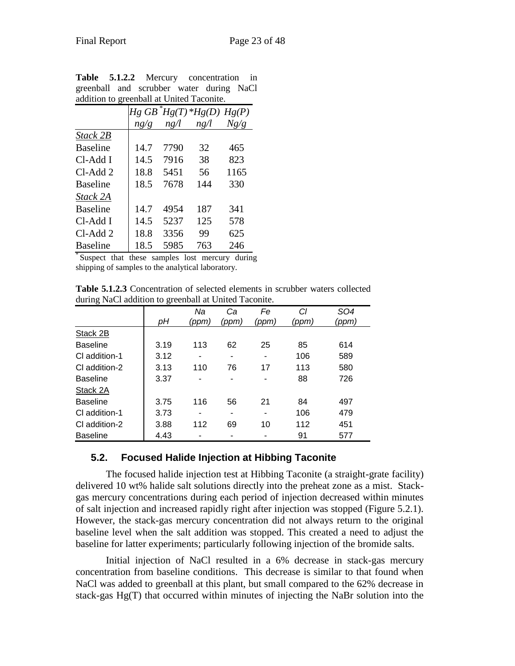| addition to greenban at United Tacomite. |      |      |                                         |      |  |  |  |
|------------------------------------------|------|------|-----------------------------------------|------|--|--|--|
|                                          |      |      | $Hg$ GB $\hat{H}g(T)$ * $Hg(D)$ $Hg(P)$ |      |  |  |  |
|                                          | ng/g | ng/l | ng/l                                    | Ng/g |  |  |  |
| Stack 2B                                 |      |      |                                         |      |  |  |  |
| <b>Baseline</b>                          | 14.7 | 7790 | 32                                      | 465  |  |  |  |
| Cl-Add I                                 | 14.5 | 7916 | 38                                      | 823  |  |  |  |
| Cl-Add 2                                 | 18.8 | 5451 | 56                                      | 1165 |  |  |  |
| <b>Baseline</b>                          | 18.5 | 7678 | 144                                     | 330  |  |  |  |
| Stack 2A                                 |      |      |                                         |      |  |  |  |
| <b>Baseline</b>                          | 14.7 | 4954 | 187                                     | 341  |  |  |  |
| Cl-Add I                                 | 14.5 | 5237 | 125                                     | 578  |  |  |  |
| $Cl-Add 2$                               | 18.8 | 3356 | 99                                      | 625  |  |  |  |
| <b>Baseline</b>                          | 18.5 | 5985 | 763                                     | 246  |  |  |  |

**Table 5.1.2.2** Mercury concentration in greenball and scrubber water during NaCl addition to greenball at United Taconite.

\* Suspect that these samples lost mercury during shipping of samples to the analytical laboratory.

**Table 5.1.2.3** Concentration of selected elements in scrubber waters collected during NaCl addition to greenball at United Taconite.

|                 |      | Nа    | Сa    | Fe    | Сl    | SO4   |
|-----------------|------|-------|-------|-------|-------|-------|
|                 | рH   | (ppm) | (ppm) | (ppm) | (ppm) | (ppm) |
| Stack 2B        |      |       |       |       |       |       |
| <b>Baseline</b> | 3.19 | 113   | 62    | 25    | 85    | 614   |
| CI addition-1   | 3.12 |       |       |       | 106   | 589   |
| CI addition-2   | 3.13 | 110   | 76    | 17    | 113   | 580   |
| <b>Baseline</b> | 3.37 |       |       |       | 88    | 726   |
| Stack 2A        |      |       |       |       |       |       |
| <b>Baseline</b> | 3.75 | 116   | 56    | 21    | 84    | 497   |
| CI addition-1   | 3.73 |       |       | -     | 106   | 479   |
| CI addition-2   | 3.88 | 112   | 69    | 10    | 112   | 451   |
| <b>Baseline</b> | 4.43 |       |       |       | 91    | 577   |

## <span id="page-22-0"></span>**5.2. Focused Halide Injection at Hibbing Taconite**

The focused halide injection test at Hibbing Taconite (a straight-grate facility) delivered 10 wt% halide salt solutions directly into the preheat zone as a mist. Stackgas mercury concentrations during each period of injection decreased within minutes of salt injection and increased rapidly right after injection was stopped (Figure 5.2.1). However, the stack-gas mercury concentration did not always return to the original baseline level when the salt addition was stopped. This created a need to adjust the baseline for latter experiments; particularly following injection of the bromide salts.

Initial injection of NaCl resulted in a 6% decrease in stack-gas mercury concentration from baseline conditions. This decrease is similar to that found when NaCl was added to greenball at this plant, but small compared to the 62% decrease in stack-gas Hg(T) that occurred within minutes of injecting the NaBr solution into the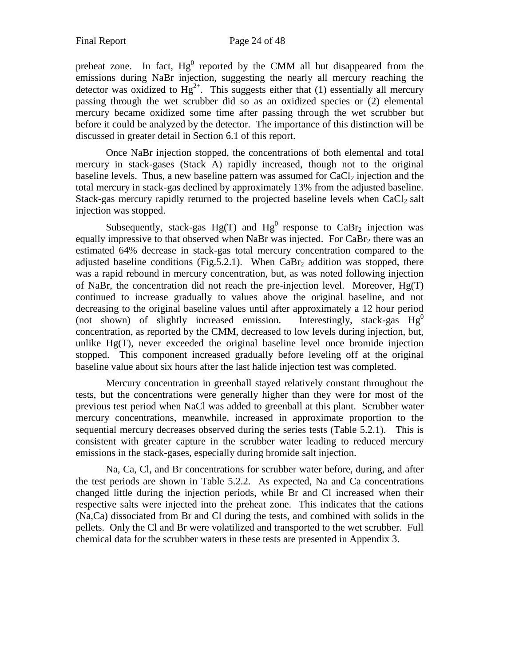preheat zone. In fact,  $Hg^0$  reported by the CMM all but disappeared from the emissions during NaBr injection, suggesting the nearly all mercury reaching the detector was oxidized to  $Hg^{2+}$ . This suggests either that (1) essentially all mercury passing through the wet scrubber did so as an oxidized species or (2) elemental mercury became oxidized some time after passing through the wet scrubber but before it could be analyzed by the detector. The importance of this distinction will be discussed in greater detail in Section 6.1 of this report.

Once NaBr injection stopped, the concentrations of both elemental and total mercury in stack-gases (Stack A) rapidly increased, though not to the original baseline levels. Thus, a new baseline pattern was assumed for  $CaCl<sub>2</sub>$  injection and the total mercury in stack-gas declined by approximately 13% from the adjusted baseline. Stack-gas mercury rapidly returned to the projected baseline levels when  $CaCl<sub>2</sub>$  salt injection was stopped.

Subsequently, stack-gas  $Hg(T)$  and  $Hg^{0}$  response to CaBr<sub>2</sub> injection was equally impressive to that observed when NaBr was injected. For  $CaBr<sub>2</sub>$  there was an estimated 64% decrease in stack-gas total mercury concentration compared to the adjusted baseline conditions (Fig. 5.2.1). When  $CaBr<sub>2</sub>$  addition was stopped, there was a rapid rebound in mercury concentration, but, as was noted following injection of NaBr, the concentration did not reach the pre-injection level. Moreover,  $Hg(T)$ continued to increase gradually to values above the original baseline, and not decreasing to the original baseline values until after approximately a 12 hour period (not shown) of slightly increased emission. Interestingly, stack-gas  $Hg^0$ concentration, as reported by the CMM, decreased to low levels during injection, but, unlike  $Hg(T)$ , never exceeded the original baseline level once bromide injection stopped. This component increased gradually before leveling off at the original baseline value about six hours after the last halide injection test was completed.

Mercury concentration in greenball stayed relatively constant throughout the tests, but the concentrations were generally higher than they were for most of the previous test period when NaCl was added to greenball at this plant. Scrubber water mercury concentrations, meanwhile, increased in approximate proportion to the sequential mercury decreases observed during the series tests (Table 5.2.1). This is consistent with greater capture in the scrubber water leading to reduced mercury emissions in the stack-gases, especially during bromide salt injection.

Na, Ca, Cl, and Br concentrations for scrubber water before, during, and after the test periods are shown in Table 5.2.2. As expected, Na and Ca concentrations changed little during the injection periods, while Br and Cl increased when their respective salts were injected into the preheat zone. This indicates that the cations (Na,Ca) dissociated from Br and Cl during the tests, and combined with solids in the pellets. Only the Cl and Br were volatilized and transported to the wet scrubber. Full chemical data for the scrubber waters in these tests are presented in Appendix 3.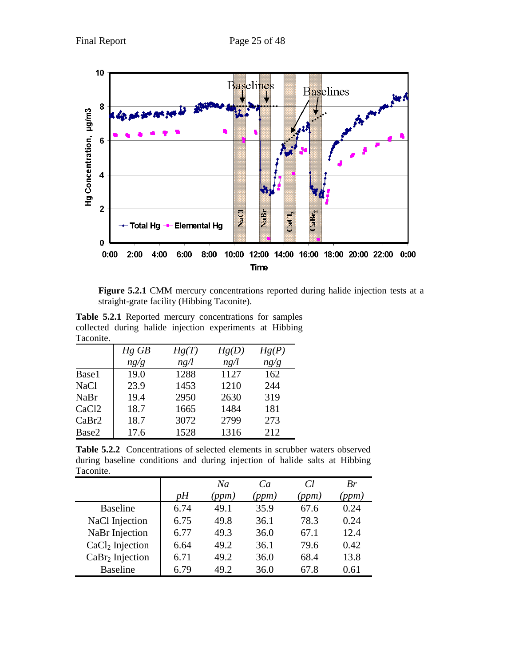

**Figure 5.2.1** CMM mercury concentrations reported during halide injection tests at a straight-grate facility (Hibbing Taconite).

**Table 5.2.1** Reported mercury concentrations for samples collected during halide injection experiments at Hibbing Taconite.

|                   | $Hg$ $GB$ | Hg(T) | Hg(D) | Hg(P) |  |  |  |
|-------------------|-----------|-------|-------|-------|--|--|--|
|                   | ng/g      | ng/l  | ng/l  | ng/g  |  |  |  |
| Base1             | 19.0      | 1288  | 1127  | 162   |  |  |  |
| <b>NaCl</b>       | 23.9      | 1453  | 1210  | 244   |  |  |  |
| NaBr              | 19.4      | 2950  | 2630  | 319   |  |  |  |
| CaCl <sub>2</sub> | 18.7      | 1665  | 1484  | 181   |  |  |  |
| CaBr2             | 18.7      | 3072  | 2799  | 273   |  |  |  |
| Base2             | 17.6      | 1528  | 1316  | 212   |  |  |  |

Table 5.2.2 Concentrations of selected elements in scrubber waters observed during baseline conditions and during injection of halide salts at Hibbing Taconite.

|                             |      | Na   | Ca   | Cl           | Br    |
|-----------------------------|------|------|------|--------------|-------|
|                             | vН   | (ppm | (ppm | <i>ppm</i> ) | (ppm) |
| <b>Baseline</b>             | 6.74 | 49.1 | 35.9 | 67.6         | 0.24  |
| NaCl Injection              | 6.75 | 49.8 | 36.1 | 78.3         | 0.24  |
| NaBr Injection              | 6.77 | 49.3 | 36.0 | 67.1         | 12.4  |
| CaCl <sub>2</sub> Injection | 6.64 | 49.2 | 36.1 | 79.6         | 0.42  |
| CaBr <sub>2</sub> Injection | 6.71 | 49.2 | 36.0 | 68.4         | 13.8  |
| <b>Baseline</b>             | 6.79 | 49.2 | 36.0 | 67.8         | 0.61  |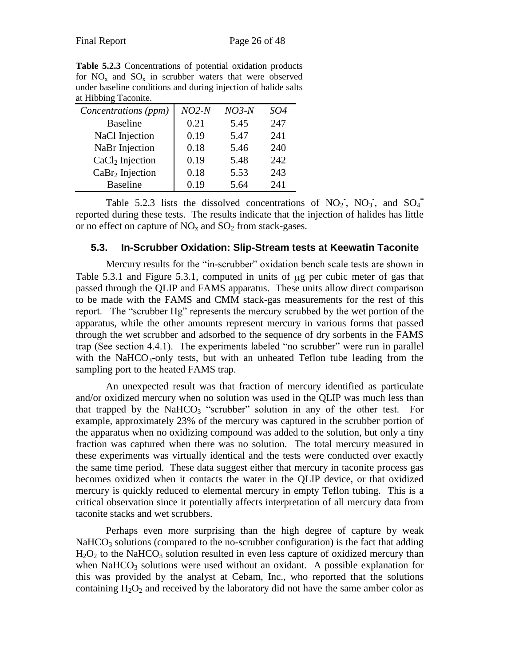**Table 5.2.3** Concentrations of potential oxidation products for  $NO<sub>x</sub>$  and  $SO<sub>x</sub>$  in scrubber waters that were observed under baseline conditions and during injection of halide salts at Hibbing Taconite.

| Concentrations (ppm)        | $NO2-N$ | $NO3-N$ | SO4 |
|-----------------------------|---------|---------|-----|
| <b>Baseline</b>             | 0.21    | 5.45    | 247 |
| NaCl Injection              | 0.19    | 5.47    | 241 |
| NaBr Injection              | 0.18    | 5.46    | 240 |
| CaCl <sub>2</sub> Injection | 0.19    | 5.48    | 242 |
| CaBr <sub>2</sub> Injection | 0.18    | 5.53    | 243 |
| <b>Baseline</b>             | 0.19    | 5.64    | 241 |

Table 5.2.3 lists the dissolved concentrations of NO<sub>2</sub>, NO<sub>3</sub>, and SO<sub>4</sub><sup>=</sup> reported during these tests. The results indicate that the injection of halides has little or no effect on capture of  $NO<sub>x</sub>$  and  $SO<sub>2</sub>$  from stack-gases.

#### <span id="page-25-0"></span>**5.3. In-Scrubber Oxidation: Slip-Stream tests at Keewatin Taconite**

Mercury results for the "in-scrubber" oxidation bench scale tests are shown in Table  $5.3.1$  and Figure  $5.3.1$ , computed in units of  $\mu$ g per cubic meter of gas that passed through the QLIP and FAMS apparatus. These units allow direct comparison to be made with the FAMS and CMM stack-gas measurements for the rest of this report. The "scrubber Hg" represents the mercury scrubbed by the wet portion of the apparatus, while the other amounts represent mercury in various forms that passed through the wet scrubber and adsorbed to the sequence of dry sorbents in the FAMS trap (See section 4.4.1). The experiments labeled "no scrubber" were run in parallel with the NaHCO<sub>3</sub>-only tests, but with an unheated Teflon tube leading from the sampling port to the heated FAMS trap.

An unexpected result was that fraction of mercury identified as particulate and/or oxidized mercury when no solution was used in the QLIP was much less than that trapped by the NaHCO<sub>3</sub> "scrubber" solution in any of the other test. For example, approximately 23% of the mercury was captured in the scrubber portion of the apparatus when no oxidizing compound was added to the solution, but only a tiny fraction was captured when there was no solution. The total mercury measured in these experiments was virtually identical and the tests were conducted over exactly the same time period. These data suggest either that mercury in taconite process gas becomes oxidized when it contacts the water in the QLIP device, or that oxidized mercury is quickly reduced to elemental mercury in empty Teflon tubing. This is a critical observation since it potentially affects interpretation of all mercury data from taconite stacks and wet scrubbers.

Perhaps even more surprising than the high degree of capture by weak  $NaHCO<sub>3</sub>$  solutions (compared to the no-scrubber configuration) is the fact that adding  $H_2O_2$  to the NaHCO<sub>3</sub> solution resulted in even less capture of oxidized mercury than when  $NaHCO<sub>3</sub>$  solutions were used without an oxidant. A possible explanation for this was provided by the analyst at Cebam, Inc., who reported that the solutions containing  $H_2O_2$  and received by the laboratory did not have the same amber color as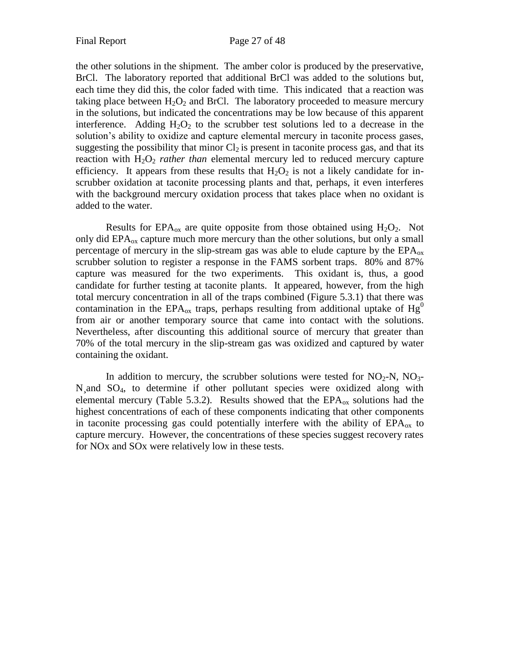the other solutions in the shipment. The amber color is produced by the preservative, BrCl. The laboratory reported that additional BrCl was added to the solutions but, each time they did this, the color faded with time. This indicated that a reaction was taking place between  $H_2O_2$  and BrCl. The laboratory proceeded to measure mercury in the solutions, but indicated the concentrations may be low because of this apparent interference. Adding  $H_2O_2$  to the scrubber test solutions led to a decrease in the solution's ability to oxidize and capture elemental mercury in taconite process gases, suggesting the possibility that minor  $Cl_2$  is present in taconite process gas, and that its reaction with  $H_2O_2$  *rather than* elemental mercury led to reduced mercury capture efficiency. It appears from these results that  $H_2O_2$  is not a likely candidate for inscrubber oxidation at taconite processing plants and that, perhaps, it even interferes with the background mercury oxidation process that takes place when no oxidant is added to the water.

Results for  $EPA_{ox}$  are quite opposite from those obtained using  $H_2O_2$ . Not only did  $EPA_{ox}$  capture much more mercury than the other solutions, but only a small percentage of mercury in the slip-stream gas was able to elude capture by the  $EPA_{ox}$ scrubber solution to register a response in the FAMS sorbent traps. 80% and 87% capture was measured for the two experiments. This oxidant is, thus, a good candidate for further testing at taconite plants. It appeared, however, from the high total mercury concentration in all of the traps combined (Figure 5.3.1) that there was contamination in the EPA<sub>ox</sub> traps, perhaps resulting from additional uptake of Hg<sup>0</sup> from air or another temporary source that came into contact with the solutions. Nevertheless, after discounting this additional source of mercury that greater than 70% of the total mercury in the slip-stream gas was oxidized and captured by water containing the oxidant.

In addition to mercury, the scrubber solutions were tested for  $NO<sub>2</sub>-N$ ,  $NO<sub>3</sub>-$ N¸and SO4, to determine if other pollutant species were oxidized along with elemental mercury (Table 5.3.2). Results showed that the  $EPA_{ox}$  solutions had the highest concentrations of each of these components indicating that other components in taconite processing gas could potentially interfere with the ability of  $EPA_{ox}$  to capture mercury. However, the concentrations of these species suggest recovery rates for NOx and SOx were relatively low in these tests.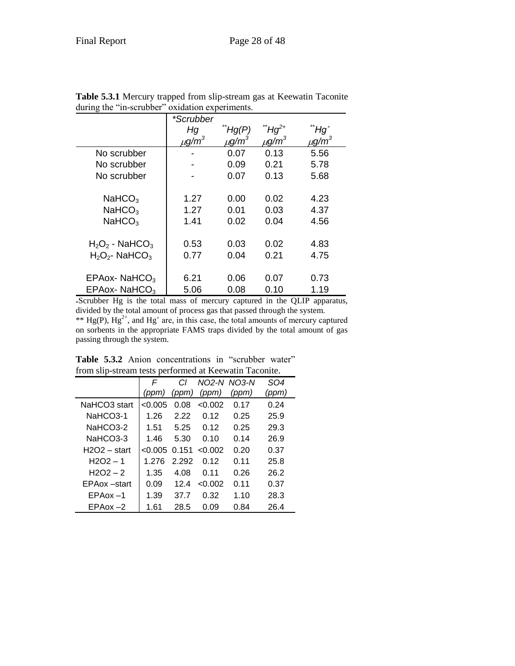|                               | *Scrubber              |                        |                        |                        |
|-------------------------------|------------------------|------------------------|------------------------|------------------------|
|                               | Нg                     | Hg(P)                  | ΄Hg <sup>2+</sup>      | $Hg^{\circ}$           |
|                               | $\mu$ g/m <sup>3</sup> | $\mu$ g/m <sup>3</sup> | $\mu$ g/m <sup>3</sup> | $\mu$ g/m <sup>3</sup> |
| No scrubber                   |                        | 0.07                   | 0.13                   | 5.56                   |
| No scrubber                   |                        | 0.09                   | 0.21                   | 5.78                   |
| No scrubber                   |                        | 0.07                   | 0.13                   | 5.68                   |
|                               |                        |                        |                        |                        |
| NaHCO <sub>3</sub>            | 1.27                   | 0.00                   | 0.02                   | 4.23                   |
| NaHCO <sub>3</sub>            | 1.27                   | 0.01                   | 0.03                   | 4.37                   |
| NaHCO <sub>3</sub>            | 1.41                   | 0.02                   | 0.04                   | 4.56                   |
|                               |                        |                        |                        |                        |
| $H_2O_2$ - NaHCO <sub>3</sub> | 0.53                   | 0.03                   | 0.02                   | 4.83                   |
| $H_2O_2$ - NaHCO <sub>3</sub> | 0.77                   | 0.04                   | 0.21                   | 4.75                   |
|                               |                        |                        |                        |                        |
| EPAox-NaHCO <sub>3</sub>      | 6.21                   | 0.06                   | 0.07                   | 0.73                   |
| $EPAox-NAHCO3$                | 5.06                   | 0.08                   | 0.10                   | 1.19                   |

**Table 5.3.1** Mercury trapped from slip-stream gas at Keewatin Taconite during the "in-scrubber" oxidation experiments.

\*Scrubber Hg is the total mass of mercury captured in the QLIP apparatus, divided by the total amount of process gas that passed through the system. \*\*  $Hg(P)$ ,  $Hg^{2+}$ , and  $Hg^{\circ}$  are, in this case, the total amounts of mercury captured on sorbents in the appropriate FAMS traps divided by the total amount of gas passing through the system.

|                | $\bullet$ $\circ$ $\bullet$ $\bullet$ $\bullet$ $\bullet$ $\bullet$ $\bullet$ $\bullet$ |       |         |             |                 |
|----------------|-----------------------------------------------------------------------------------------|-------|---------|-------------|-----------------|
|                | F                                                                                       | СI    |         | NO2-N NO3-N | SO <sub>4</sub> |
|                | (ppm)                                                                                   | (ppm) | (ppm)   | (ppm)       | (ppm)           |
| NaHCO3 start   | < 0.005                                                                                 | 0.08  | < 0.002 | 0.17        | 0.24            |
| NaHCO3-1       | 1.26                                                                                    | 2.22  | 0.12    | 0.25        | 25.9            |
| NaHCO3-2       | 1.51                                                                                    | 5.25  | 0.12    | 0.25        | 29.3            |
| NaHCO3-3       | 1.46                                                                                    | 5.30  | 0.10    | 0.14        | 26.9            |
| $H2O2 - start$ | < 0.005                                                                                 | 0.151 | < 0.002 | 0.20        | 0.37            |
| $H2O2 - 1$     | 1.276                                                                                   | 2.292 | በ 12    | 0.11        | 25.8            |
| $H2O2 - 2$     | 1.35                                                                                    | 4.08  | 0.11    | 0.26        | 26.2            |
| EPAox –start   | 0.09                                                                                    | 12.4  | < 0.002 | 0.11        | 0.37            |
| $EPAox -1$     | 1.39                                                                                    | 37.7  | 0.32    | 1.10        | 28.3            |
| $EPA$ ox $-2$  | 1.61                                                                                    | 28.5  | 0.09    | 0.84        | 26.4            |

**Table 5.3.2** Anion concentrations in "scrubber water" from slip-stream tests performed at Keewatin Taconite.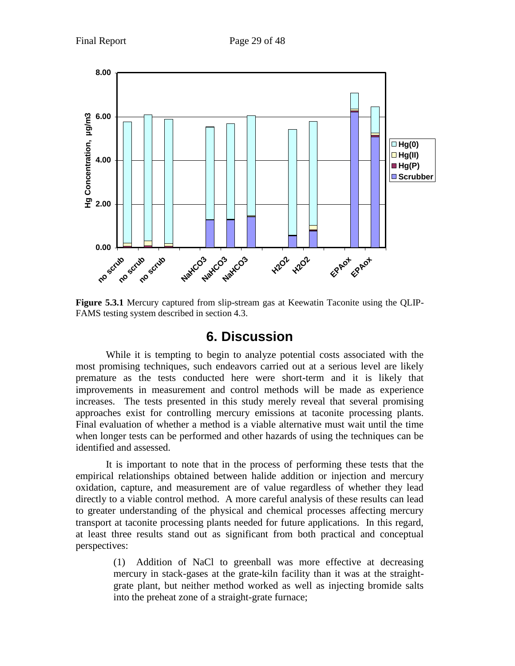

<span id="page-28-0"></span>**Figure 5.3.1** Mercury captured from slip-stream gas at Keewatin Taconite using the QLIP-FAMS testing system described in section 4.3.

# **6. Discussion**

While it is tempting to begin to analyze potential costs associated with the most promising techniques, such endeavors carried out at a serious level are likely premature as the tests conducted here were short-term and it is likely that improvements in measurement and control methods will be made as experience increases. The tests presented in this study merely reveal that several promising approaches exist for controlling mercury emissions at taconite processing plants. Final evaluation of whether a method is a viable alternative must wait until the time when longer tests can be performed and other hazards of using the techniques can be identified and assessed.

It is important to note that in the process of performing these tests that the empirical relationships obtained between halide addition or injection and mercury oxidation, capture, and measurement are of value regardless of whether they lead directly to a viable control method. A more careful analysis of these results can lead to greater understanding of the physical and chemical processes affecting mercury transport at taconite processing plants needed for future applications. In this regard, at least three results stand out as significant from both practical and conceptual perspectives:

> (1) Addition of NaCl to greenball was more effective at decreasing mercury in stack-gases at the grate-kiln facility than it was at the straightgrate plant, but neither method worked as well as injecting bromide salts into the preheat zone of a straight-grate furnace;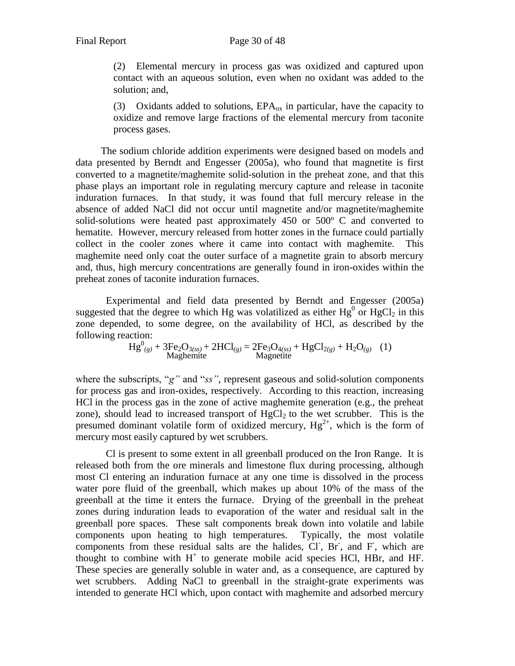(2) Elemental mercury in process gas was oxidized and captured upon contact with an aqueous solution, even when no oxidant was added to the solution; and,

(3) Oxidants added to solutions,  $EPA_{ox}$  in particular, have the capacity to oxidize and remove large fractions of the elemental mercury from taconite process gases.

 The sodium chloride addition experiments were designed based on models and data presented by Berndt and Engesser (2005a), who found that magnetite is first converted to a magnetite/maghemite solid-solution in the preheat zone, and that this phase plays an important role in regulating mercury capture and release in taconite induration furnaces. In that study, it was found that full mercury release in the absence of added NaCl did not occur until magnetite and/or magnetite/maghemite solid-solutions were heated past approximately 450 or 500º C and converted to hematite. However, mercury released from hotter zones in the furnace could partially collect in the cooler zones where it came into contact with maghemite. This maghemite need only coat the outer surface of a magnetite grain to absorb mercury and, thus, high mercury concentrations are generally found in iron-oxides within the preheat zones of taconite induration furnaces.

Experimental and field data presented by Berndt and Engesser (2005a) suggested that the degree to which Hg was volatilized as either  $Hg^0$  or  $HgCl_2$  in this zone depended, to some degree, on the availability of HCl, as described by the following reaction:

$$
Hg^{0}_{(g)} + 3Fe_2O_{3(s)} + 2HCl_{(g)} = 2Fe_3O_{4(s)} + HgCl_{2(g)} + H_2O_{(g)}
$$
 (1)  
Magnetic

where the subscripts, "g" and "*ss*", represent gaseous and solid-solution components for process gas and iron-oxides, respectively. According to this reaction, increasing HCl in the process gas in the zone of active maghemite generation (e.g., the preheat zone), should lead to increased transport of  $HgCl<sub>2</sub>$  to the wet scrubber. This is the presumed dominant volatile form of oxidized mercury,  $Hg^{2+}$ , which is the form of mercury most easily captured by wet scrubbers.

Cl is present to some extent in all greenball produced on the Iron Range. It is released both from the ore minerals and limestone flux during processing, although most Cl entering an induration furnace at any one time is dissolved in the process water pore fluid of the greenball, which makes up about 10% of the mass of the greenball at the time it enters the furnace. Drying of the greenball in the preheat zones during induration leads to evaporation of the water and residual salt in the greenball pore spaces. These salt components break down into volatile and labile components upon heating to high temperatures. Typically, the most volatile components from these residual salts are the halides,  $CI$ ,  $Br$ , and  $F$ , which are thought to combine with  $H^+$  to generate mobile acid species HCl, HBr, and HF. These species are generally soluble in water and, as a consequence, are captured by wet scrubbers. Adding NaCl to greenball in the straight-grate experiments was intended to generate HCl which, upon contact with maghemite and adsorbed mercury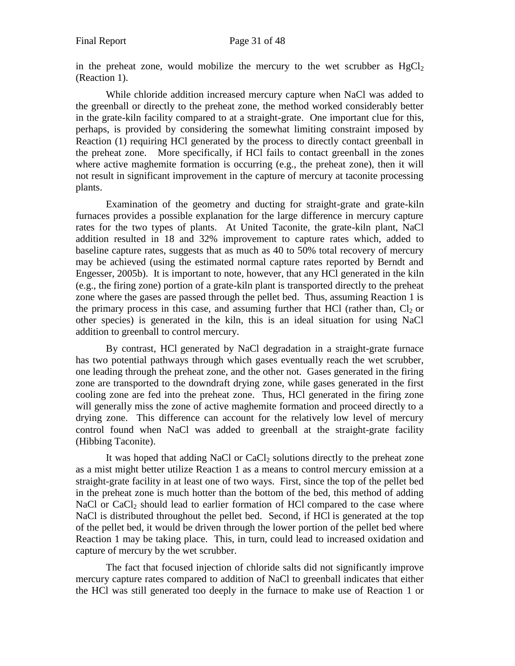in the preheat zone, would mobilize the mercury to the wet scrubber as  $HgCl<sub>2</sub>$ (Reaction 1).

While chloride addition increased mercury capture when NaCl was added to the greenball or directly to the preheat zone, the method worked considerably better in the grate-kiln facility compared to at a straight-grate. One important clue for this, perhaps, is provided by considering the somewhat limiting constraint imposed by Reaction (1) requiring HCl generated by the process to directly contact greenball in the preheat zone. More specifically, if HCl fails to contact greenball in the zones where active maghemite formation is occurring (e.g., the preheat zone), then it will not result in significant improvement in the capture of mercury at taconite processing plants.

Examination of the geometry and ducting for straight-grate and grate-kiln furnaces provides a possible explanation for the large difference in mercury capture rates for the two types of plants. At United Taconite, the grate-kiln plant, NaCl addition resulted in 18 and 32% improvement to capture rates which, added to baseline capture rates, suggests that as much as 40 to 50% total recovery of mercury may be achieved (using the estimated normal capture rates reported by Berndt and Engesser, 2005b). It is important to note, however, that any HCl generated in the kiln (e.g., the firing zone) portion of a grate-kiln plant is transported directly to the preheat zone where the gases are passed through the pellet bed. Thus, assuming Reaction 1 is the primary process in this case, and assuming further that HCl (rather than,  $Cl_2$  or other species) is generated in the kiln, this is an ideal situation for using NaCl addition to greenball to control mercury.

By contrast, HCl generated by NaCl degradation in a straight-grate furnace has two potential pathways through which gases eventually reach the wet scrubber, one leading through the preheat zone, and the other not. Gases generated in the firing zone are transported to the downdraft drying zone, while gases generated in the first cooling zone are fed into the preheat zone. Thus, HCl generated in the firing zone will generally miss the zone of active maghemite formation and proceed directly to a drying zone. This difference can account for the relatively low level of mercury control found when NaCl was added to greenball at the straight-grate facility (Hibbing Taconite).

It was hoped that adding NaCl or  $CaCl<sub>2</sub>$  solutions directly to the preheat zone as a mist might better utilize Reaction 1 as a means to control mercury emission at a straight-grate facility in at least one of two ways. First, since the top of the pellet bed in the preheat zone is much hotter than the bottom of the bed, this method of adding NaCl or  $CaCl<sub>2</sub>$  should lead to earlier formation of HCl compared to the case where NaCl is distributed throughout the pellet bed. Second, if HCl is generated at the top of the pellet bed, it would be driven through the lower portion of the pellet bed where Reaction 1 may be taking place. This, in turn, could lead to increased oxidation and capture of mercury by the wet scrubber.

The fact that focused injection of chloride salts did not significantly improve mercury capture rates compared to addition of NaCl to greenball indicates that either the HCl was still generated too deeply in the furnace to make use of Reaction 1 or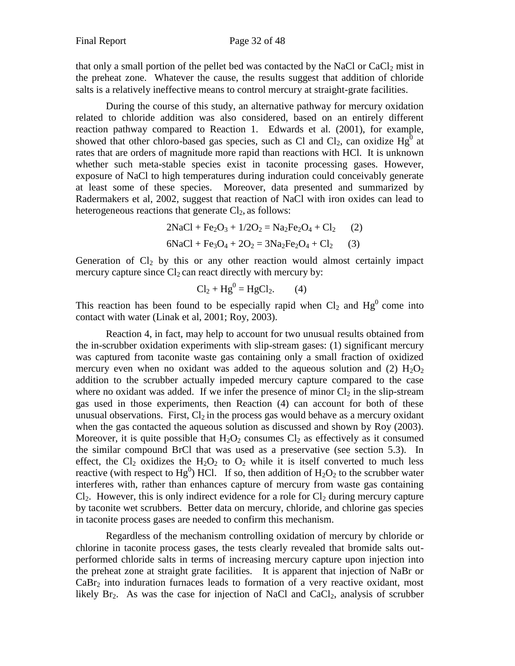that only a small portion of the pellet bed was contacted by the NaCl or  $CaCl<sub>2</sub>$  mist in the preheat zone. Whatever the cause, the results suggest that addition of chloride salts is a relatively ineffective means to control mercury at straight-grate facilities.

During the course of this study, an alternative pathway for mercury oxidation related to chloride addition was also considered, based on an entirely different reaction pathway compared to Reaction 1. Edwards et al. (2001), for example, showed that other chloro-based gas species, such as Cl and  $Cl_2$ , can oxidize Hg<sup>0</sup> at rates that are orders of magnitude more rapid than reactions with HCl. It is unknown whether such meta-stable species exist in taconite processing gases. However, exposure of NaCl to high temperatures during induration could conceivably generate at least some of these species. Moreover, data presented and summarized by Radermakers et al, 2002, suggest that reaction of NaCl with iron oxides can lead to heterogeneous reactions that generate  $Cl<sub>2</sub>$ , as follows:

> $2NaCl + Fe<sub>2</sub>O<sub>3</sub> + 1/2O<sub>2</sub> = Na<sub>2</sub>Fe<sub>2</sub>O<sub>4</sub> + Cl<sub>2</sub>$  (2)  $6NaCl + Fe<sub>3</sub>O<sub>4</sub> + 2O<sub>2</sub> = 3Na<sub>2</sub>Fe<sub>2</sub>O<sub>4</sub> + Cl<sub>2</sub>$  (3)

Generation of  $Cl_2$  by this or any other reaction would almost certainly impact mercury capture since  $Cl_2$  can react directly with mercury by:

$$
Cl2 + Hg0 = HgCl2.
$$
 (4)

This reaction has been found to be especially rapid when  $Cl_2$  and  $Hg^0$  come into contact with water (Linak et al, 2001; Roy, 2003).

Reaction 4, in fact, may help to account for two unusual results obtained from the in-scrubber oxidation experiments with slip-stream gases: (1) significant mercury was captured from taconite waste gas containing only a small fraction of oxidized mercury even when no oxidant was added to the aqueous solution and (2)  $H_2O_2$ addition to the scrubber actually impeded mercury capture compared to the case where no oxidant was added. If we infer the presence of minor  $Cl_2$  in the slip-stream gas used in those experiments, then Reaction (4) can account for both of these unusual observations. First,  $Cl_2$  in the process gas would behave as a mercury oxidant when the gas contacted the aqueous solution as discussed and shown by Roy (2003). Moreover, it is quite possible that  $H_2O_2$  consumes  $Cl_2$  as effectively as it consumed the similar compound BrCl that was used as a preservative (see section 5.3). In effect, the Cl<sub>2</sub> oxidizes the H<sub>2</sub>O<sub>2</sub> to O<sub>2</sub> while it is itself converted to much less reactive (with respect to Hg<sup>0</sup>) HCl. If so, then addition of  $H_2O_2$  to the scrubber water interferes with, rather than enhances capture of mercury from waste gas containing  $Cl<sub>2</sub>$ . However, this is only indirect evidence for a role for  $Cl<sub>2</sub>$  during mercury capture by taconite wet scrubbers. Better data on mercury, chloride, and chlorine gas species in taconite process gases are needed to confirm this mechanism.

Regardless of the mechanism controlling oxidation of mercury by chloride or chlorine in taconite process gases, the tests clearly revealed that bromide salts outperformed chloride salts in terms of increasing mercury capture upon injection into the preheat zone at straight grate facilities. It is apparent that injection of NaBr or  $CaBr<sub>2</sub>$  into induration furnaces leads to formation of a very reactive oxidant, most likely  $Br_2$ . As was the case for injection of NaCl and CaCl<sub>2</sub>, analysis of scrubber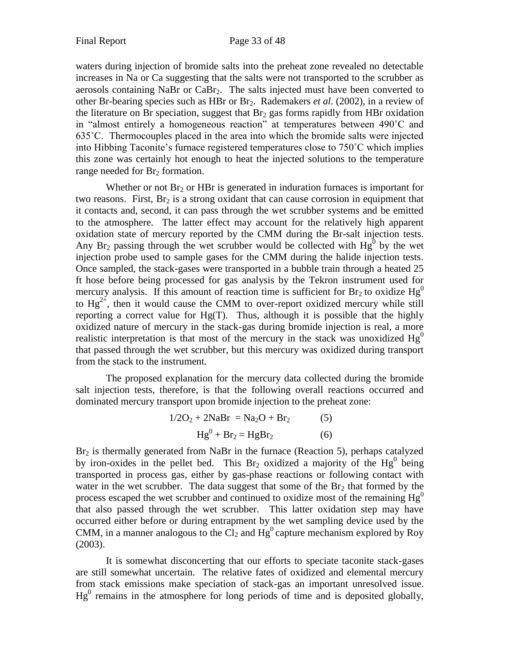waters during injection of bromide salts into the preheat zone revealed no detectable increases in Na or Ca suggesting that the salts were not transported to the scrubber as aerosols containing NaBr or CaBr<sub>2</sub>. The salts injected must have been converted to other Br-bearing species such as HBr or Br2. Rademakers *et al.* (2002), in a review of the literature on Br speciation, suggest that  $Br<sub>2</sub>$  gas forms rapidly from HBr oxidation in "almost entirely a homogeneous reaction" at temperatures between 490˚C and 635˚C. Thermocouples placed in the area into which the bromide salts were injected into Hibbing Taconite's furnace registered temperatures close to 750˚C which implies this zone was certainly hot enough to heat the injected solutions to the temperature range needed for  $Br<sub>2</sub>$  formation.

Whether or not  $Br_2$  or HBr is generated in induration furnaces is important for two reasons. First,  $Br<sub>2</sub>$  is a strong oxidant that can cause corrosion in equipment that it contacts and, second, it can pass through the wet scrubber systems and be emitted to the atmosphere. The latter effect may account for the relatively high apparent oxidation state of mercury reported by the CMM during the Br-salt injection tests. Any Br<sub>2</sub> passing through the wet scrubber would be collected with  $Hg^0$  by the wet injection probe used to sample gases for the CMM during the halide injection tests. Once sampled, the stack-gases were transported in a bubble train through a heated 25 ft hose before being processed for gas analysis by the Tekron instrument used for mercury analysis. If this amount of reaction time is sufficient for  $Br_2$  to oxidize  $Hg^0$ to  $Hg^{2+}$ , then it would cause the CMM to over-report oxidized mercury while still reporting a correct value for  $Hg(T)$ . Thus, although it is possible that the highly oxidized nature of mercury in the stack-gas during bromide injection is real, a more realistic interpretation is that most of the mercury in the stack was unoxidized  $Hg<sup>0</sup>$ that passed through the wet scrubber, but this mercury was oxidized during transport from the stack to the instrument.

The proposed explanation for the mercury data collected during the bromide salt injection tests, therefore, is that the following overall reactions occurred and dominated mercury transport upon bromide injection to the preheat zone:

$$
1/2O2 + 2NaBr = Na2O + Br2
$$
 (5)  
Hg<sup>0</sup> + Br<sub>2</sub> = HgBr<sub>2</sub> (6)

Br<sub>2</sub> is thermally generated from NaBr in the furnace (Reaction 5), perhaps catalyzed by iron-oxides in the pellet bed. This  $Br_2$  oxidized a majority of the  $Hg^0$  being transported in process gas, either by gas-phase reactions or following contact with water in the wet scrubber. The data suggest that some of the  $Br<sub>2</sub>$  that formed by the process escaped the wet scrubber and continued to oxidize most of the remaining  $Hg^0$ that also passed through the wet scrubber. This latter oxidation step may have occurred either before or during entrapment by the wet sampling device used by the CMM, in a manner analogous to the Cl<sub>2</sub> and  $Hg^0$  capture mechanism explored by Roy (2003).

It is somewhat disconcerting that our efforts to speciate taconite stack-gases are still somewhat uncertain. The relative fates of oxidized and elemental mercury from stack emissions make speciation of stack-gas an important unresolved issue.  $Hg<sup>0</sup>$  remains in the atmosphere for long periods of time and is deposited globally,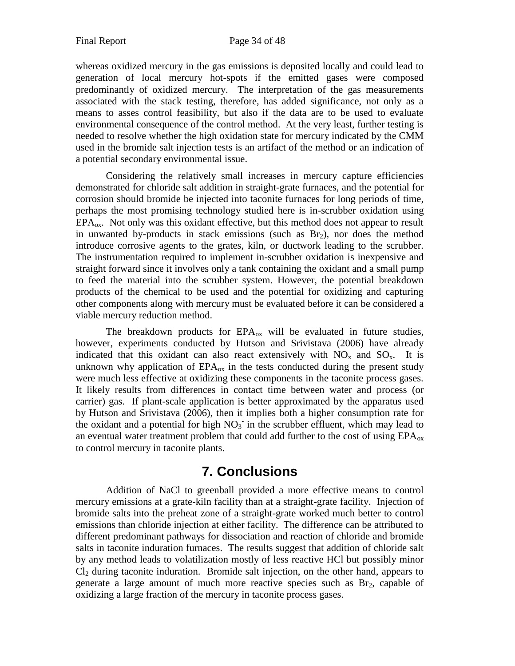whereas oxidized mercury in the gas emissions is deposited locally and could lead to generation of local mercury hot-spots if the emitted gases were composed predominantly of oxidized mercury. The interpretation of the gas measurements associated with the stack testing, therefore, has added significance, not only as a means to asses control feasibility, but also if the data are to be used to evaluate environmental consequence of the control method. At the very least, further testing is needed to resolve whether the high oxidation state for mercury indicated by the CMM used in the bromide salt injection tests is an artifact of the method or an indication of a potential secondary environmental issue.

Considering the relatively small increases in mercury capture efficiencies demonstrated for chloride salt addition in straight-grate furnaces, and the potential for corrosion should bromide be injected into taconite furnaces for long periods of time, perhaps the most promising technology studied here is in-scrubber oxidation using  $EPA<sub>ox</sub>$ . Not only was this oxidant effective, but this method does not appear to result in unwanted by-products in stack emissions (such as  $Br<sub>2</sub>$ ), nor does the method introduce corrosive agents to the grates, kiln, or ductwork leading to the scrubber. The instrumentation required to implement in-scrubber oxidation is inexpensive and straight forward since it involves only a tank containing the oxidant and a small pump to feed the material into the scrubber system. However, the potential breakdown products of the chemical to be used and the potential for oxidizing and capturing other components along with mercury must be evaluated before it can be considered a viable mercury reduction method.

The breakdown products for  $EPA_{ox}$  will be evaluated in future studies, however, experiments conducted by Hutson and Srivistava (2006) have already indicated that this oxidant can also react extensively with  $NO_x$  and  $SO_x$ . It is unknown why application of  $EPA_{ox}$  in the tests conducted during the present study were much less effective at oxidizing these components in the taconite process gases. It likely results from differences in contact time between water and process (or carrier) gas. If plant-scale application is better approximated by the apparatus used by Hutson and Srivistava (2006), then it implies both a higher consumption rate for the oxidant and a potential for high  $NO<sub>3</sub>$  in the scrubber effluent, which may lead to an eventual water treatment problem that could add further to the cost of using  $EPA_{ox}$ to control mercury in taconite plants.

# **7. Conclusions**

<span id="page-33-0"></span>Addition of NaCl to greenball provided a more effective means to control mercury emissions at a grate-kiln facility than at a straight-grate facility. Injection of bromide salts into the preheat zone of a straight-grate worked much better to control emissions than chloride injection at either facility. The difference can be attributed to different predominant pathways for dissociation and reaction of chloride and bromide salts in taconite induration furnaces. The results suggest that addition of chloride salt by any method leads to volatilization mostly of less reactive HCl but possibly minor  $Cl<sub>2</sub>$  during taconite induration. Bromide salt injection, on the other hand, appears to generate a large amount of much more reactive species such as Br2, capable of oxidizing a large fraction of the mercury in taconite process gases.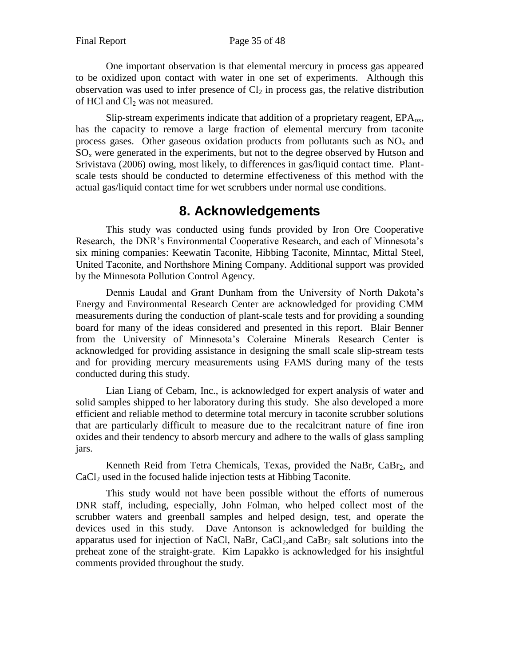One important observation is that elemental mercury in process gas appeared to be oxidized upon contact with water in one set of experiments. Although this observation was used to infer presence of  $Cl_2$  in process gas, the relative distribution of HCl and  $Cl<sub>2</sub>$  was not measured.

Slip-stream experiments indicate that addition of a proprietary reagent,  $EPA<sub>ox</sub>$ , has the capacity to remove a large fraction of elemental mercury from taconite process gases. Other gaseous oxidation products from pollutants such as  $NO<sub>x</sub>$  and  $SO<sub>x</sub>$  were generated in the experiments, but not to the degree observed by Hutson and Srivistava (2006) owing, most likely, to differences in gas/liquid contact time. Plantscale tests should be conducted to determine effectiveness of this method with the actual gas/liquid contact time for wet scrubbers under normal use conditions.

# **8. Acknowledgements**

<span id="page-34-0"></span>This study was conducted using funds provided by Iron Ore Cooperative Research, the DNR's Environmental Cooperative Research, and each of Minnesota's six mining companies: Keewatin Taconite, Hibbing Taconite, Minntac, Mittal Steel, United Taconite, and Northshore Mining Company. Additional support was provided by the Minnesota Pollution Control Agency.

Dennis Laudal and Grant Dunham from the University of North Dakota's Energy and Environmental Research Center are acknowledged for providing CMM measurements during the conduction of plant-scale tests and for providing a sounding board for many of the ideas considered and presented in this report. Blair Benner from the University of Minnesota's Coleraine Minerals Research Center is acknowledged for providing assistance in designing the small scale slip-stream tests and for providing mercury measurements using FAMS during many of the tests conducted during this study.

Lian Liang of Cebam, Inc., is acknowledged for expert analysis of water and solid samples shipped to her laboratory during this study. She also developed a more efficient and reliable method to determine total mercury in taconite scrubber solutions that are particularly difficult to measure due to the recalcitrant nature of fine iron oxides and their tendency to absorb mercury and adhere to the walls of glass sampling jars.

Kenneth Reid from Tetra Chemicals, Texas, provided the NaBr, CaBr<sub>2</sub>, and  $CaCl<sub>2</sub>$  used in the focused halide injection tests at Hibbing Taconite.

This study would not have been possible without the efforts of numerous DNR staff, including, especially, John Folman, who helped collect most of the scrubber waters and greenball samples and helped design, test, and operate the devices used in this study. Dave Antonson is acknowledged for building the apparatus used for injection of NaCl, NaBr,  $CaCl<sub>2</sub>$ , and  $CaBr<sub>2</sub>$  salt solutions into the preheat zone of the straight-grate. Kim Lapakko is acknowledged for his insightful comments provided throughout the study.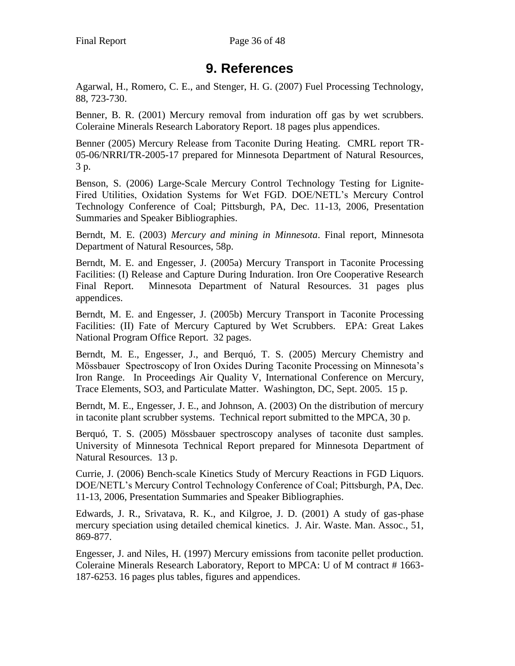# **9. References**

<span id="page-35-0"></span>Agarwal, H., Romero, C. E., and Stenger, H. G. (2007) Fuel Processing Technology, 88, 723-730.

Benner, B. R. (2001) Mercury removal from induration off gas by wet scrubbers. Coleraine Minerals Research Laboratory Report. 18 pages plus appendices.

Benner (2005) Mercury Release from Taconite During Heating. CMRL report TR-05-06/NRRI/TR-2005-17 prepared for Minnesota Department of Natural Resources, 3 p.

Benson, S. (2006) Large-Scale Mercury Control Technology Testing for Lignite-Fired Utilities, Oxidation Systems for Wet FGD. DOE/NETL's Mercury Control Technology Conference of Coal; Pittsburgh, PA, Dec. 11-13, 2006, Presentation Summaries and Speaker Bibliographies.

Berndt, M. E. (2003) *Mercury and mining in Minnesota*. Final report, Minnesota Department of Natural Resources, 58p.

Berndt, M. E. and Engesser, J. (2005a) Mercury Transport in Taconite Processing Facilities: (I) Release and Capture During Induration. Iron Ore Cooperative Research Final Report. Minnesota Department of Natural Resources. 31 pages plus appendices.

Berndt, M. E. and Engesser, J. (2005b) Mercury Transport in Taconite Processing Facilities: (II) Fate of Mercury Captured by Wet Scrubbers. EPA: Great Lakes National Program Office Report. 32 pages.

Berndt, M. E., Engesser, J., and Berquó, T. S. (2005) Mercury Chemistry and Mössbauer Spectroscopy of Iron Oxides During Taconite Processing on Minnesota's Iron Range. In Proceedings Air Quality V, International Conference on Mercury, Trace Elements, SO3, and Particulate Matter. Washington, DC, Sept. 2005. 15 p.

Berndt, M. E., Engesser, J. E., and Johnson, A. (2003) On the distribution of mercury in taconite plant scrubber systems. Technical report submitted to the MPCA, 30 p.

Berquó, T. S. (2005) Mössbauer spectroscopy analyses of taconite dust samples. University of Minnesota Technical Report prepared for Minnesota Department of Natural Resources. 13 p.

Currie, J. (2006) Bench-scale Kinetics Study of Mercury Reactions in FGD Liquors. DOE/NETL's Mercury Control Technology Conference of Coal; Pittsburgh, PA, Dec. 11-13, 2006, Presentation Summaries and Speaker Bibliographies.

Edwards, J. R., Srivatava, R. K., and Kilgroe, J. D. (2001) A study of gas-phase mercury speciation using detailed chemical kinetics. J. Air. Waste. Man. Assoc., 51, 869-877.

Engesser, J. and Niles, H. (1997) Mercury emissions from taconite pellet production. Coleraine Minerals Research Laboratory, Report to MPCA: U of M contract # 1663- 187-6253. 16 pages plus tables, figures and appendices.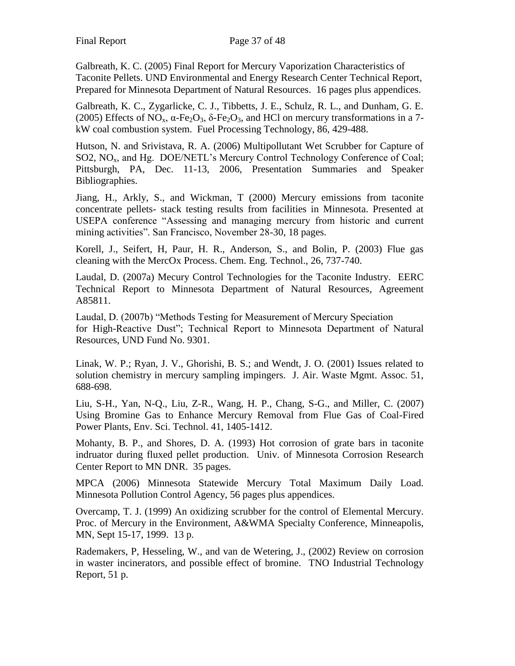Galbreath, K. C. (2005) Final Report for Mercury Vaporization Characteristics of Taconite Pellets. UND Environmental and Energy Research Center Technical Report, Prepared for Minnesota Department of Natural Resources. 16 pages plus appendices.

Galbreath, K. C., Zygarlicke, C. J., Tibbetts, J. E., Schulz, R. L., and Dunham, G. E. (2005) Effects of NO<sub>x</sub>,  $\alpha$ -Fe<sub>2</sub>O<sub>3</sub>,  $\delta$ -Fe<sub>2</sub>O<sub>3</sub>, and HCl on mercury transformations in a 7kW coal combustion system. Fuel Processing Technology, 86, 429-488.

Hutson, N. and Srivistava, R. A. (2006) Multipollutant Wet Scrubber for Capture of SO2, NO<sub>x</sub>, and Hg. DOE/NETL's Mercury Control Technology Conference of Coal; Pittsburgh, PA, Dec. 11-13, 2006, Presentation Summaries and Speaker Bibliographies.

Jiang, H., Arkly, S., and Wickman, T (2000) Mercury emissions from taconite concentrate pellets- stack testing results from facilities in Minnesota. Presented at USEPA conference "Assessing and managing mercury from historic and current mining activities". San Francisco, November 28-30, 18 pages.

Korell, J., Seifert, H, Paur, H. R., Anderson, S., and Bolin, P. (2003) Flue gas cleaning with the MercOx Process. Chem. Eng. Technol., 26, 737-740.

Laudal, D. (2007a) Mecury Control Technologies for the Taconite Industry. EERC Technical Report to Minnesota Department of Natural Resources, Agreement A85811.

Laudal, D. (2007b) "Methods Testing for Measurement of Mercury Speciation for High-Reactive Dust"; Technical Report to Minnesota Department of Natural Resources, UND Fund No. 9301.

Linak, W. P.; Ryan, J. V., Ghorishi, B. S.; and Wendt, J. O. (2001) Issues related to solution chemistry in mercury sampling impingers. J. Air. Waste Mgmt. Assoc. 51, 688-698.

Liu, S-H., Yan, N-Q., Liu, Z-R., Wang, H. P., Chang, S-G., and Miller, C. (2007) Using Bromine Gas to Enhance Mercury Removal from Flue Gas of Coal-Fired Power Plants, Env. Sci. Technol. 41, 1405-1412.

Mohanty, B. P., and Shores, D. A. (1993) Hot corrosion of grate bars in taconite indruator during fluxed pellet production. Univ. of Minnesota Corrosion Research Center Report to MN DNR. 35 pages.

MPCA (2006) Minnesota Statewide Mercury Total Maximum Daily Load. Minnesota Pollution Control Agency, 56 pages plus appendices.

Overcamp, T. J. (1999) An oxidizing scrubber for the control of Elemental Mercury. Proc. of Mercury in the Environment, A&WMA Specialty Conference, Minneapolis, MN, Sept 15-17, 1999. 13 p.

Rademakers, P, Hesseling, W., and van de Wetering, J., (2002) Review on corrosion in waster incinerators, and possible effect of bromine. TNO Industrial Technology Report, 51 p.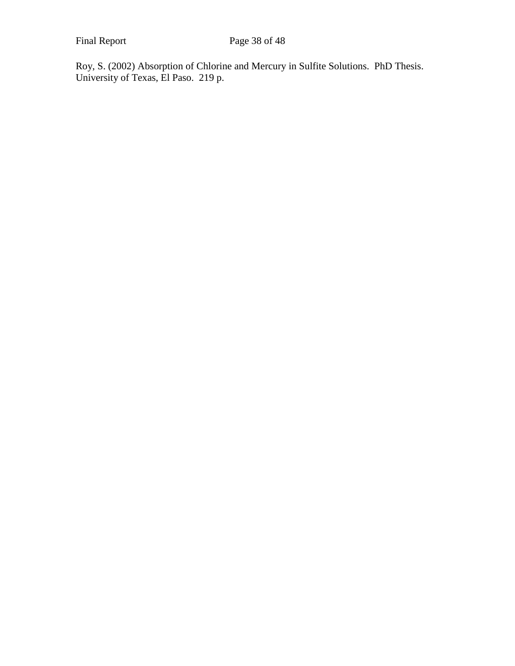Roy, S. (2002) Absorption of Chlorine and Mercury in Sulfite Solutions. PhD Thesis. University of Texas, El Paso. 219 p.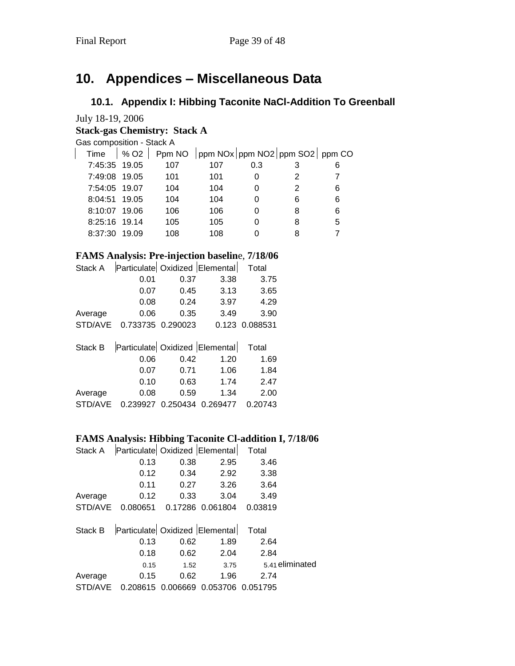# <span id="page-38-0"></span>**10. Appendices – Miscellaneous Data**

# <span id="page-38-1"></span>**10.1. Appendix I: Hibbing Taconite NaCl-Addition To Greenball**

July 18-19, 2006

## **Stack-gas Chemistry: Stack A**

Gas composition - Stack A

|               | Time $\left  \begin{array}{c} \% & Q2 \end{array} \right $ Ppm NO $\left $ ppm NOx $\left $ ppm NO2 $\right $ ppm SO2 $\left $ ppm CO |     |     |   |   |
|---------------|---------------------------------------------------------------------------------------------------------------------------------------|-----|-----|---|---|
| 7:45:35 19.05 | 107                                                                                                                                   | 107 | 0.3 |   | 6 |
| 7:49:08 19.05 | 101                                                                                                                                   | 101 | 0   | 2 |   |
| 7:54:05 19.07 | 104                                                                                                                                   | 104 | 0   | 2 | 6 |
| 8:04:51 19.05 | 104                                                                                                                                   | 104 | 0   | 6 | 6 |
| 8:10:07 19.06 | 106                                                                                                                                   | 106 | 0   | 8 | 6 |
| 8:25:16 19.14 | 105                                                                                                                                   | 105 | 0   | 8 | 5 |
| 8:37:30 19.09 | 108                                                                                                                                   | 108 |     |   |   |

# **FAMS Analysis: Pre-injection baselin**e, **7/18/06**

| Stack A | Particulate Oxidized Elemental                       |               |                                           | Total          |
|---------|------------------------------------------------------|---------------|-------------------------------------------|----------------|
|         | 0.01                                                 | 0.37          | 3.38                                      | 3.75           |
|         | 0.07                                                 | 0.45          | 3.13                                      | 3.65           |
|         | 0.08                                                 | 0.24          | 3.97                                      | 4.29           |
| Average | 0.06                                                 | 0.35          | 3.49                                      | 3.90           |
|         | STD/AVE 0.733735 0.290023                            |               |                                           | 0.123 0.088531 |
|         | Stack B   Particulate   Oxidized   Elemental   Total |               |                                           |                |
|         | 0.06                                                 | 0.42          | 1.20                                      | 1.69           |
|         | 0.07                                                 | 0.71          | 1.06                                      | 1.84           |
|         | $\sim$ 10                                            | $\sim$ $\sim$ | $\rightarrow$ $\rightarrow$ $\rightarrow$ | $\sim$ $\sim$  |

|                                                | 0.10 | 0.63 | 1 74 | 2.47 |
|------------------------------------------------|------|------|------|------|
| Average                                        | 0.08 | 0.59 | 1.34 | 2.00 |
| STD/AVE  0.239927  0.250434  0.269477  0.20743 |      |      |      |      |

## **FAMS Analysis: Hibbing Taconite Cl-addition I, 7/18/06**

| Stack A | Particulate Oxidized Elemental |      |                            | Total   |                 |
|---------|--------------------------------|------|----------------------------|---------|-----------------|
|         | 0.13                           | 0.38 | 2.95                       | 3.46    |                 |
|         | 0.12                           | 0.34 | 2.92                       | 3.38    |                 |
|         | 0.11                           | 0.27 | 3.26                       | 3.64    |                 |
| Average | 0.12                           | 0.33 | 3.04                       | 3.49    |                 |
| STD/AVE | 0.080651                       |      | 0.17286 0.061804           | 0.03819 |                 |
| Stack B | Particulate Oxidized Elemental |      |                            | Total   |                 |
|         | 0.13                           | 0.62 | 1.89                       | 2.64    |                 |
|         | 0.18                           | 0.62 | 2.04                       | 2.84    |                 |
|         | 0.15                           | 1.52 | 3.75                       |         | 5.41 eliminated |
| Average | 0.15                           | 0.62 | 1.96                       | 2.74    |                 |
| STD/AVE | 0.208615                       |      | 0.006669 0.053706 0.051795 |         |                 |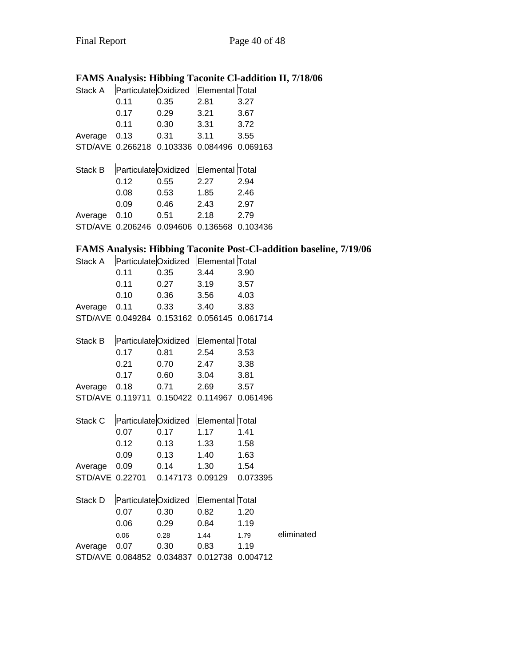# **FAMS Analysis: Hibbing Taconite Cl-addition II, 7/18/06**

| Stack A | ParticulateOxidized Elemental Total |          |                                     |          |
|---------|-------------------------------------|----------|-------------------------------------|----------|
|         | 0.11                                | 0.35     | 2.81                                | 3.27     |
|         | 0.17                                | 0.29     | 3.21                                | 3.67     |
|         | 0.11                                | 0.30     | 3.31                                | 3.72     |
| Average | 0.13                                | 0.31     | 3.11                                | 3.55     |
| STD/AVE | 0.266218                            | 0.103336 | 0.084496                            | 0.069163 |
|         |                                     |          |                                     |          |
|         |                                     |          |                                     |          |
| Stack B |                                     |          | ParticulateOxidized Elemental Total |          |
|         | 0.12                                | 0.55     | 2.27                                | 2.94     |
|         | 0.08                                | 0.53     | 1.85                                | 2.46     |
|         | 0.09                                | 0.46     | 2.43                                | 2.97     |
| Average | 0.10                                | 0.51     | 2.18                                | 2.79     |
| STD/AVE | 0.206246                            | 0.094606 | 0.136568                            | 0.103436 |

# **FAMS Analysis: Hibbing Taconite Post-Cl-addition baseline, 7/19/06**

| Stack A      |                                             |               | ParticulateOxidized Elemental Total |          |            |
|--------------|---------------------------------------------|---------------|-------------------------------------|----------|------------|
|              | 0.11                                        | 0.35          | 3.44                                | 3.90     |            |
|              | 0.11                                        | $0.27$ $3.19$ |                                     | 3.57     |            |
|              | 0.10                                        | 0.36          | 3.56                                | 4.03     |            |
| Average      | 0.11                                        | 0.33          | 3.40                                | 3.83     |            |
|              | STD/AVE 0.049284 0.153162 0.056145 0.061714 |               |                                     |          |            |
| Stack B      |                                             |               | ParticulateOxidized Elemental Total |          |            |
|              | 0.17                                        | 0.81          | 2.54                                | 3.53     |            |
|              | 0.21                                        | 0.70          | 2.47                                | 3.38     |            |
|              | 0.17                                        | 0.60          | 3.04                                | 3.81     |            |
| Average      | 0.18                                        | 0.71          | 2.69                                | 3.57     |            |
|              | STD/AVE 0.119711 0.150422 0.114967 0.061496 |               |                                     |          |            |
| Stack C      |                                             |               | ParticulateOxidized Elemental Total |          |            |
|              | 0.07                                        | 0.17          | 1.17                                | 1.41     |            |
|              | 0.12                                        | 0.13          | $1.33 -$                            | 1.58     |            |
|              | 0.09                                        | 0.13          | 1.40                                | 1.63     |            |
| Average      |                                             | 0.09 0.14     | 1.30                                | 1.54     |            |
|              | STD/AVE 0.22701  0.147173  0.09129          |               |                                     | 0.073395 |            |
| Stack D      |                                             |               | ParticulateOxidized Elemental Total |          |            |
|              | 0.07                                        | 0.30          | 0.82                                | 1.20     |            |
|              | 0.06                                        | 0.29          | 0.84                                | 1.19     |            |
|              | 0.06                                        | 0.28          | 1.44                                | 1.79     | eliminated |
| Average 0.07 |                                             | 0.30          | 0.83                                | 1.19     |            |
|              | STD/AVE 0.084852 0.034837 0.012738 0.004712 |               |                                     |          |            |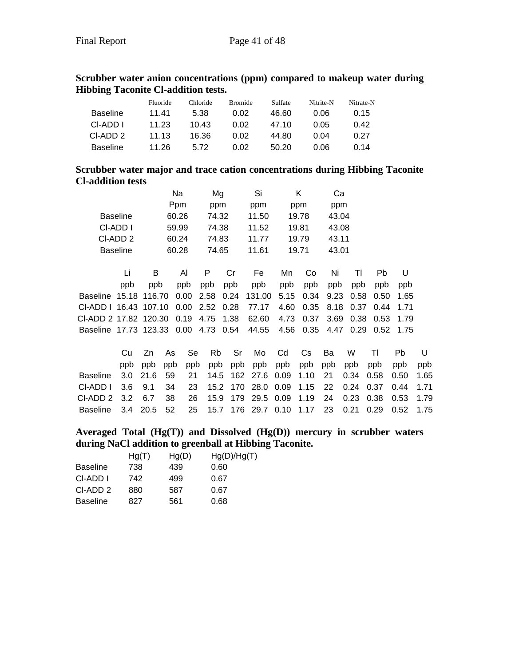|                 | Fluoride | Chloride | <b>Bromide</b> | Sulfate | Nitrite-N | Nitrate-N |
|-----------------|----------|----------|----------------|---------|-----------|-----------|
| <b>Baseline</b> | 11.41    | 5.38     | 0.02           | 46.60   | 0.06      | 0.15      |
| CI-ADD I        | 11.23    | 10.43    | 0.02           | 47.10   | 0.05      | 0.42      |
| CI-ADD 2        | 11.13    | 16.36    | 0.02           | 44.80   | 0 04      | 0.27      |
| <b>Baseline</b> | 11.26    | 5.72     | 0.02           | 50.20   | 0.06      | 0.14      |

### **Scrubber water anion concentrations (ppm) compared to makeup water during Hibbing Taconite Cl-addition tests.**

### **Scrubber water major and trace cation concentrations during Hibbing Taconite Cl-addition tests**

|                                      |                 |     | Na    | Mg          |      | Si     | Κ     |      | Ca    |      |           |      |
|--------------------------------------|-----------------|-----|-------|-------------|------|--------|-------|------|-------|------|-----------|------|
|                                      |                 |     | Ppm   | ppm         |      | ppm    | ppm   |      | ppm   |      |           |      |
|                                      | <b>Baseline</b> |     | 60.26 | 74.32       |      | 11.50  | 19.78 |      | 43.04 |      |           |      |
|                                      | CI-ADD I        |     | 59.99 | 74.38       |      | 11.52  | 19.81 |      | 43.08 |      |           |      |
|                                      | CI-ADD 2        |     | 60.24 | 74.83       |      | 11.77  | 19.79 |      | 43.11 |      |           |      |
|                                      | <b>Baseline</b> |     | 60.28 | 74.65       |      | 11.61  | 19.71 |      | 43.01 |      |           |      |
|                                      |                 |     |       |             |      |        |       |      |       |      |           |      |
|                                      | Li              | B   | Al    | P           | Cr   | Fe     | Mn    | Co   | Ni    | ΤI   | <b>Pb</b> | U    |
|                                      | ppb             | ppb | ppb   | ppb         | ppb  | ppb    | ppb   | ppb  | ppb   | ppb  | ppb       | ppb  |
| Baseline 15.18 116.70                |                 |     |       | $0.00$ 2.58 | 0.24 | 131.00 | 5.15  | 0.34 | 9.23  | 0.58 | 0.50      | 1.65 |
| CI-ADD I 16.43 107.10 0.00 2.52 0.28 |                 |     |       |             |      | 77.17  | 4.60  | 0.35 | 8.18  | 0.37 | 0.44      | 1.71 |
| CI-ADD 2 17.82 120.30 0.19           |                 |     |       | 4.75        | 1.38 | 62.60  | 4.73  | 0.37 | 3.69  | 0.38 | 0.53      | 1.79 |
| Baseline 17.73 123.33 0.00           |                 |     |       | 4.73 0.54   |      | 44.55  | 4.56  | 0.35 | 4.47  | 0.29 | 0.52      | 1.75 |
|                                      |                 |     |       |             |      |        |       |      |       |      |           |      |

Cu Zn As Se Rb Sr Mo Cd Cs Ba W Tl Pb U ppb ppb ppb ppb ppb ppb ppb ppb ppb ppb ppb ppb ppb ppb Baseline 3.0 21.6 59 21 14.5 162 27.6 0.09 1.10 21 0.34 0.58 0.50 1.65 Cl-ADD I 3.6 9.1 34 23 15.2 170 28.0 0.09 1.15 22 0.24 0.37 0.44 1.71 Cl-ADD 2 3.2 6.7 38 26 15.9 179 29.5 0.09 1.19 24 0.23 0.38 0.53 1.79 Baseline 3.4 20.5 52 25 15.7 176 29.7 0.10 1.17 23 0.21 0.29 0.52 1.75

### **Averaged Total (Hg(T)) and Dissolved (Hg(D)) mercury in scrubber waters during NaCl addition to greenball at Hibbing Taconite.**

|          | Hg(T) | Hg(D) | Hg(D)/Hg(T) |
|----------|-------|-------|-------------|
| Baseline | 738   | 439   | 0.60        |
| CI-ADD I | 742   | 499   | 0.67        |
| CI-ADD 2 | 880   | 587   | 0.67        |
| Baseline | 827   | 561   | 0.68        |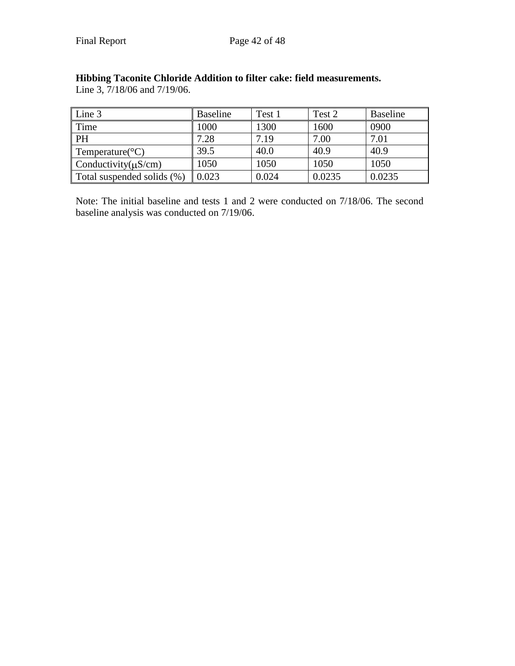| $\vert$ Line 3               | <b>Baseline</b> | Test 1 | Test 2 | Baseline |
|------------------------------|-----------------|--------|--------|----------|
| $\mid$ Time                  | 1000            | 1300   | 1600   | 0900     |
| $\mathsf{I}$ PH              | 7.28            | 7.19   | 7.00   | 7.01     |
| Temperature( ${}^{\circ}C$ ) | 39.5            | 40.0   | 40.9   | 40.9     |
| Conductivity( $\mu$ S/cm)    | 1050            | 1050   | 1050   | 1050     |
| Total suspended solids (%)   | 0.023           | 0.024  | 0.0235 | 0.0235   |

# **Hibbing Taconite Chloride Addition to filter cake: field measurements.**

Line 3, 7/18/06 and 7/19/06.

Note: The initial baseline and tests 1 and 2 were conducted on 7/18/06. The second baseline analysis was conducted on 7/19/06.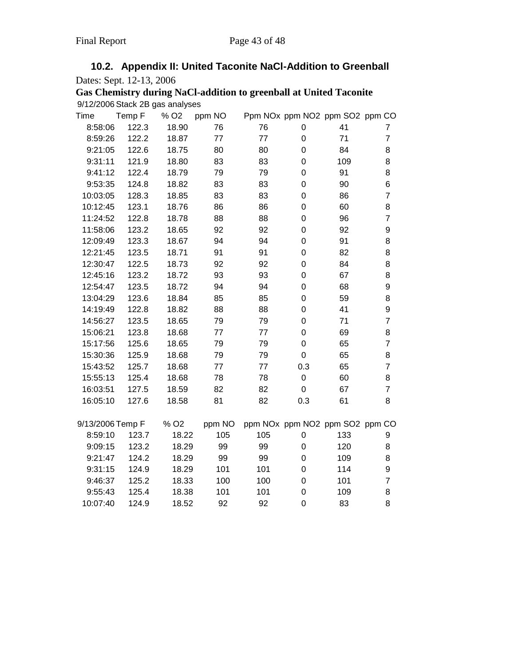<span id="page-42-0"></span>

| 10.2. Appendix II: United Taconite NaCI-Addition to Greenball |
|---------------------------------------------------------------|
| Dates: Sept. 12-13, 2006                                      |

| Gas Chemistry during NaCl-addition to greenball at United Taconite |
|--------------------------------------------------------------------|
| 9/12/2006 Stack 2B gas analyses                                    |

| Time             | Temp F | % O <sub>2</sub> | ppm NO |     | Ppm NOx ppm NO2 ppm SO2 ppm CO |     |                |
|------------------|--------|------------------|--------|-----|--------------------------------|-----|----------------|
| 8:58:06          | 122.3  | 18.90            | 76     | 76  | 0                              | 41  | 7              |
| 8:59:26          | 122.2  | 18.87            | 77     | 77  | 0                              | 71  | $\overline{7}$ |
| 9:21:05          | 122.6  | 18.75            | 80     | 80  | 0                              | 84  | 8              |
| 9:31:11          | 121.9  | 18.80            | 83     | 83  | 0                              | 109 | 8              |
| 9:41:12          | 122.4  | 18.79            | 79     | 79  | 0                              | 91  | 8              |
| 9:53:35          | 124.8  | 18.82            | 83     | 83  | 0                              | 90  | 6              |
| 10:03:05         | 128.3  | 18.85            | 83     | 83  | 0                              | 86  | $\overline{7}$ |
| 10:12:45         | 123.1  | 18.76            | 86     | 86  | 0                              | 60  | 8              |
| 11:24:52         | 122.8  | 18.78            | 88     | 88  | 0                              | 96  | $\overline{7}$ |
| 11:58:06         | 123.2  | 18.65            | 92     | 92  | 0                              | 92  | 9              |
| 12:09:49         | 123.3  | 18.67            | 94     | 94  | 0                              | 91  | 8              |
| 12:21:45         | 123.5  | 18.71            | 91     | 91  | 0                              | 82  | 8              |
| 12:30:47         | 122.5  | 18.73            | 92     | 92  | 0                              | 84  | 8              |
| 12:45:16         | 123.2  | 18.72            | 93     | 93  | 0                              | 67  | 8              |
| 12:54:47         | 123.5  | 18.72            | 94     | 94  | 0                              | 68  | 9              |
| 13:04:29         | 123.6  | 18.84            | 85     | 85  | 0                              | 59  | 8              |
| 14:19:49         | 122.8  | 18.82            | 88     | 88  | 0                              | 41  | 9              |
| 14:56:27         | 123.5  | 18.65            | 79     | 79  | 0                              | 71  | $\overline{7}$ |
| 15:06:21         | 123.8  | 18.68            | 77     | 77  | 0                              | 69  | 8              |
| 15:17:56         | 125.6  | 18.65            | 79     | 79  | $\overline{0}$                 | 65  | $\overline{7}$ |
| 15:30:36         | 125.9  | 18.68            | 79     | 79  | $\mathbf 0$                    | 65  | 8              |
| 15:43:52         | 125.7  | 18.68            | 77     | 77  | 0.3                            | 65  | $\overline{7}$ |
| 15:55:13         | 125.4  | 18.68            | 78     | 78  | $\pmb{0}$                      | 60  | 8              |
| 16:03:51         | 127.5  | 18.59            | 82     | 82  | $\mathbf 0$                    | 67  | $\overline{7}$ |
| 16:05:10         | 127.6  | 18.58            | 81     | 82  | 0.3                            | 61  | 8              |
| 9/13/2006 Temp F |        | % O <sub>2</sub> | ppm NO |     | ppm NOx ppm NO2 ppm SO2 ppm CO |     |                |
| 8:59:10          | 123.7  | 18.22            | 105    | 105 | 0                              | 133 | 9              |
| 9:09:15          | 123.2  | 18.29            | 99     | 99  | 0                              | 120 | 8              |
| 9:21:47          | 124.2  | 18.29            | 99     | 99  | 0                              | 109 | 8              |
| 9:31:15          | 124.9  | 18.29            | 101    | 101 | 0                              | 114 | 9              |
| 9:46:37          | 125.2  | 18.33            | 100    | 100 | 0                              | 101 | $\overline{7}$ |
| 9:55:43          | 125.4  | 18.38            | 101    | 101 | 0                              | 109 | 8              |
| 10:07:40         | 124.9  | 18.52            | 92     | 92  | 0                              | 83  | 8              |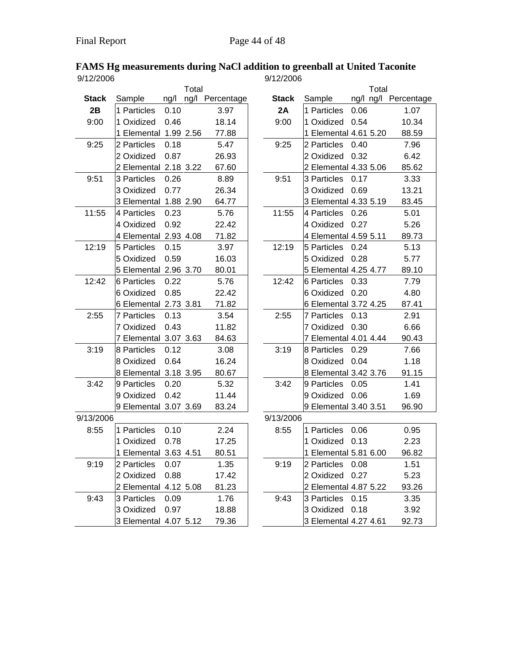### **FAMS Hg measurements during NaCl addition to greenball at United Taconite** 9/12/2006 9/12/2006

|              |                       |      | Total |                 |              |                       |      | Total |                    |
|--------------|-----------------------|------|-------|-----------------|--------------|-----------------------|------|-------|--------------------|
| <b>Stack</b> | Sample                | ng/l |       | ng/l Percentage | <b>Stack</b> | Sample                |      |       | ng/l ng/l Percenta |
| 2B           | 1 Particles           | 0.10 |       | 3.97            | 2A           | 1 Particles           | 0.06 |       | 1.07               |
| 9:00         | 1 Oxidized            | 0.46 |       | 18.14           | 9:00         | 1 Oxidized            | 0.54 |       | 10.34              |
|              | 1 Elemental 1.99 2.56 |      |       | 77.88           |              | 1 Elemental 4.61 5.20 |      |       | 88.59              |
| 9:25         | 2 Particles           | 0.18 |       | 5.47            | 9:25         | 2 Particles           | 0.40 |       | 7.96               |
|              | 2 Oxidized            | 0.87 |       | 26.93           |              | 2 Oxidized            | 0.32 |       | 6.42               |
|              | 2 Elemental 2.18 3.22 |      |       | 67.60           |              | 2 Elemental 4.33 5.06 |      |       | 85.62              |
| 9:51         | 3 Particles           | 0.26 |       | 8.89            | 9:51         | 3 Particles           | 0.17 |       | 3.33               |
|              | 3 Oxidized            | 0.77 |       | 26.34           |              | 3 Oxidized            | 0.69 |       | 13.21              |
|              | 3 Elemental 1.88 2.90 |      |       | 64.77           |              | 3 Elemental 4.33 5.19 |      |       | 83.45              |
| 11:55        | 4 Particles           | 0.23 |       | 5.76            | 11:55        | 4 Particles           | 0.26 |       | 5.01               |
|              | 4 Oxidized            | 0.92 |       | 22.42           |              | 4 Oxidized            | 0.27 |       | 5.26               |
|              | 4 Elemental 2.93 4.08 |      |       | 71.82           |              | 4 Elemental 4.59 5.11 |      |       | 89.73              |
| 12:19        | 5 Particles           | 0.15 |       | 3.97            | 12:19        | 5 Particles           | 0.24 |       | 5.13               |
|              | 5 Oxidized            | 0.59 |       | 16.03           |              | 5 Oxidized            | 0.28 |       | 5.77               |
|              | 5 Elemental 2.96 3.70 |      |       | 80.01           |              | 5 Elemental 4.25 4.77 |      |       | 89.10              |
| 12:42        | <b>6 Particles</b>    | 0.22 |       | 5.76            | 12:42        | 6 Particles           | 0.33 |       | 7.79               |
|              | 6 Oxidized            | 0.85 |       | 22.42           |              | 6 Oxidized            | 0.20 |       | 4.80               |
|              | 6 Elemental 2.73 3.81 |      |       | 71.82           |              | 6 Elemental 3.72 4.25 |      |       | 87.41              |
| 2:55         | <b>7 Particles</b>    | 0.13 |       | 3.54            | 2:55         | 7 Particles           | 0.13 |       | 2.91               |
|              | 7 Oxidized            | 0.43 |       | 11.82           |              | 7 Oxidized            | 0.30 |       | 6.66               |
|              | 7 Elemental 3.07 3.63 |      |       | 84.63           |              | 7 Elemental 4.01 4.44 |      |       | 90.43              |
| 3:19         | 8 Particles           | 0.12 |       | 3.08            | 3:19         | 8 Particles           | 0.29 |       | 7.66               |
|              | 8 Oxidized            | 0.64 |       | 16.24           |              | 8 Oxidized            | 0.04 |       | 1.18               |
|              | 8 Elemental 3.18 3.95 |      |       | 80.67           |              | 8 Elemental 3.42 3.76 |      |       | 91.15              |
| 3:42         | 9 Particles           | 0.20 |       | 5.32            | 3:42         | 9 Particles           | 0.05 |       | 1.41               |
|              | 9 Oxidized            | 0.42 |       | 11.44           |              | 9 Oxidized            | 0.06 |       | 1.69               |
|              | 9 Elemental 3.07 3.69 |      |       | 83.24           |              | 9 Elemental 3.40 3.51 |      |       | 96.90              |
| 9/13/2006    |                       |      |       |                 | 9/13/2006    |                       |      |       |                    |
| 8:55         | 1 Particles           | 0.10 |       | 2.24            | 8:55         | 1 Particles           | 0.06 |       | 0.95               |
|              | 1 Oxidized            | 0.78 |       | 17.25           |              | 1 Oxidized            | 0.13 |       | 2.23               |
|              | 1 Elemental 3.63 4.51 |      |       | 80.51           |              | 1 Elemental 5.81 6.00 |      |       | 96.82              |
| 9:19         | 2 Particles           | 0.07 |       | 1.35            | 9:19         | 2 Particles           | 0.08 |       | 1.51               |
|              | 2 Oxidized            | 0.88 |       | 17.42           |              | 2 Oxidized            | 0.27 |       | 5.23               |
|              | 2 Elemental 4.12 5.08 |      |       | 81.23           |              | 2 Elemental 4.87 5.22 |      |       | 93.26              |
| 9:43         | 3 Particles           | 0.09 |       | 1.76            | 9:43         | 3 Particles           | 0.15 |       | 3.35               |
|              | 3 Oxidized            | 0.97 |       | 18.88           |              | 3 Oxidized 0.18       |      |       | 3.92               |
|              | 3 Elemental 4.07 5.12 |      |       | 79.36           |              | 3 Elemental 4.27 4.61 |      |       | 92.73              |

| <i>LIZ</i> UUD |                       |      |       |                 | <b>SILLIZIZUUD</b> |                       |       |                      |
|----------------|-----------------------|------|-------|-----------------|--------------------|-----------------------|-------|----------------------|
|                |                       |      | Total |                 |                    |                       | Total |                      |
| <b>Stack</b>   | Sample                | ng/l |       | ng/l Percentage | <b>Stack</b>       | Sample                |       | ng/l ng/l Percentage |
| 2B             | 1 Particles           | 0.10 |       | 3.97            | 2A                 | 1 Particles           | 0.06  | 1.07                 |
| 9:00           | 1 Oxidized            | 0.46 |       | 18.14           | 9:00               | 1 Oxidized            | 0.54  | 10.34                |
|                | 1 Elemental 1.99 2.56 |      |       | 77.88           |                    | 1 Elemental 4.61 5.20 |       | 88.59                |
| 9:25           | 2 Particles           | 0.18 |       | 5.47            | 9:25               | 2 Particles           | 0.40  | 7.96                 |
|                | 2 Oxidized            | 0.87 |       | 26.93           |                    | 2 Oxidized            | 0.32  | 6.42                 |
|                | 2 Elemental 2.18 3.22 |      |       | 67.60           |                    | 2 Elemental 4.33 5.06 |       | 85.62                |
| 9:51           | 3 Particles           | 0.26 |       | 8.89            | 9:51               | 3 Particles           | 0.17  | 3.33                 |
|                | 3 Oxidized            | 0.77 |       | 26.34           |                    | 3 Oxidized            | 0.69  | 13.21                |
|                | 3 Elemental 1.88 2.90 |      |       | 64.77           |                    | 3 Elemental 4.33 5.19 |       | 83.45                |
| 1:55           | 4 Particles           | 0.23 |       | 5.76            | 11:55              | 4 Particles           | 0.26  | 5.01                 |
|                | 4 Oxidized            | 0.92 |       | 22.42           |                    | 4 Oxidized            | 0.27  | 5.26                 |
|                | 4 Elemental 2.93 4.08 |      |       | 71.82           |                    | 4 Elemental 4.59 5.11 |       | 89.73                |
| 12:19          | 5 Particles           | 0.15 |       | 3.97            | 12:19              | 5 Particles           | 0.24  | 5.13                 |
|                | 5 Oxidized            | 0.59 |       | 16.03           |                    | 5 Oxidized 0.28       |       | 5.77                 |
|                | 5 Elemental 2.96 3.70 |      |       | 80.01           |                    | 5 Elemental 4.25 4.77 |       | 89.10                |
| 12:42          | 6 Particles           | 0.22 |       | 5.76            | 12:42              | 6 Particles           | 0.33  | 7.79                 |
|                | 6 Oxidized            | 0.85 |       | 22.42           |                    | 6 Oxidized            | 0.20  | 4.80                 |
|                | 6 Elemental 2.73 3.81 |      |       | 71.82           |                    | 6 Elemental 3.72 4.25 |       | 87.41                |
| 2:55           | 7 Particles           | 0.13 |       | 3.54            | 2:55               | 7 Particles           | 0.13  | 2.91                 |
|                | 7 Oxidized            | 0.43 |       | 11.82           |                    | 7 Oxidized            | 0.30  | 6.66                 |
|                | 7 Elemental 3.07 3.63 |      |       | 84.63           |                    | 7 Elemental 4.01 4.44 |       | 90.43                |
| 3:19           | 8 Particles           | 0.12 |       | 3.08            | 3:19               | 8 Particles 0.29      |       | 7.66                 |
|                | 8 Oxidized            | 0.64 |       | 16.24           |                    | 8 Oxidized            | 0.04  | 1.18                 |
|                | 8 Elemental 3.18 3.95 |      |       | 80.67           |                    | 8 Elemental 3.42 3.76 |       | 91.15                |
| 3:42           | 9 Particles           | 0.20 |       | 5.32            | 3:42               | 9 Particles           | 0.05  | 1.41                 |
|                | 9 Oxidized            | 0.42 |       | 11.44           |                    | 9 Oxidized 0.06       |       | 1.69                 |
|                | 9 Elemental 3.07 3.69 |      |       | 83.24           |                    | 9 Elemental 3.40 3.51 |       | 96.90                |
| 3/2006         |                       |      |       |                 | 9/13/2006          |                       |       |                      |
| 8:55           | 1 Particles           | 0.10 |       | 2.24            | 8:55               | 1 Particles           | 0.06  | 0.95                 |
|                | 1 Oxidized            | 0.78 |       | 17.25           |                    | 1 Oxidized            | 0.13  | 2.23                 |
|                | 1 Elemental 3.63 4.51 |      |       | 80.51           |                    | 1 Elemental 5.81 6.00 |       | 96.82                |
| 9:19           | 2 Particles           | 0.07 |       | 1.35            | 9:19               | 2 Particles 0.08      |       | 1.51                 |
|                | 2 Oxidized            | 0.88 |       | 17.42           |                    | 2 Oxidized 0.27       |       | 5.23                 |
|                | 2 Elemental 4.12 5.08 |      |       | 81.23           |                    | 2 Elemental 4.87 5.22 |       | 93.26                |
| 9:43           | 3 Particles           | 0.09 |       | 1.76            | 9:43               | 3 Particles 0.15      |       | 3.35                 |
|                | 3 Oxidized            | 0.97 |       | 18.88           |                    | 3 Oxidized 0.18       |       | 3.92                 |
|                | 3 Elemental 4.07 5.12 |      |       | 79.36           |                    | 3 Elemental 4.27 4.61 |       | 92.73                |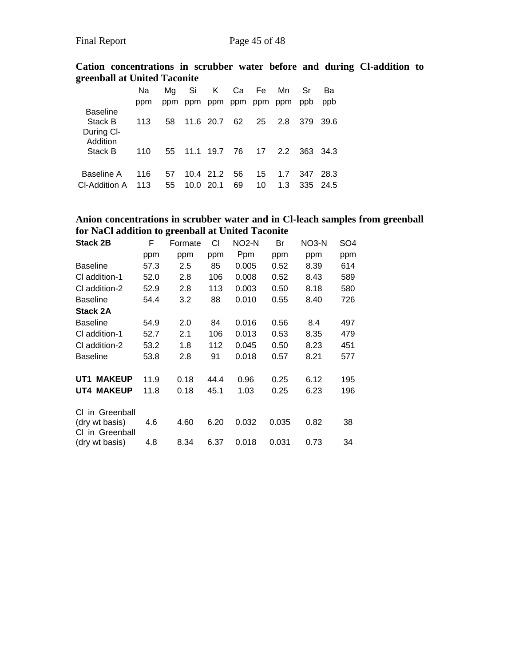**Cation concentrations in scrubber water before and during Cl-addition to greenball at United Taconite**

|                            | Na  | Ma  | Si        | K               |      | Ca Fe | Mn. | Sr  | Bа           |
|----------------------------|-----|-----|-----------|-----------------|------|-------|-----|-----|--------------|
|                            | ppm | ppm |           | ppm ppm ppm ppm |      |       | ppm | ppb | ppb          |
| <b>Baseline</b><br>Stack B | 113 | 58  |           | 11.6 20.7       | 62   | 25    | 2.8 | 379 | 39.6         |
| During CI-<br>Addition     |     |     |           |                 |      |       |     |     |              |
| Stack B                    | 110 | 55  |           | 11.1 19.7       | - 76 | 17    |     |     | 2.2 363 34.3 |
| Baseline A                 | 116 | 57  |           | 10.4 21.2       | 56   | 15    | 1.7 | 347 | 28.3         |
| CI-Addition A              | 113 | 55  | 10.0 20.1 |                 | 69   | 10    | 1.3 |     | 335 24.5     |

## **Anion concentrations in scrubber water and in Cl-leach samples from greenball for NaCl addition to greenball at United Taconite**

| <b>Stack 2B</b>                   | F    | Formate | СI   | NO <sub>2</sub> -N | Br    | NO <sub>3</sub> -N | SO4 |
|-----------------------------------|------|---------|------|--------------------|-------|--------------------|-----|
|                                   | ppm  | ppm     | ppm  | Ppm                | ppm   | ppm                | ppm |
| <b>Baseline</b>                   | 57.3 | 2.5     | 85   | 0.005              | 0.52  | 8.39               | 614 |
| CI addition-1                     | 52.0 | 2.8     | 106  | 0.008              | 0.52  | 8.43               | 589 |
| CI addition-2                     | 52.9 | 2.8     | 113  | 0.003              | 0.50  | 8.18               | 580 |
| <b>Baseline</b>                   | 54.4 | 3.2     | 88   | 0.010              | 0.55  | 8.40               | 726 |
| <b>Stack 2A</b>                   |      |         |      |                    |       |                    |     |
| <b>Baseline</b>                   | 54.9 | 2.0     | 84   | 0.016              | 0.56  | 8.4                | 497 |
| CI addition-1                     | 52.7 | 2.1     | 106  | 0.013              | 0.53  | 8.35               | 479 |
| CI addition-2                     | 53.2 | 1.8     | 112  | 0.045              | 0.50  | 8.23               | 451 |
| <b>Baseline</b>                   | 53.8 | 2.8     | 91   | 0.018              | 0.57  | 8.21               | 577 |
| <b>MAKEUP</b><br>UT1              | 11.9 | 0.18    | 44.4 | 0.96               | 0.25  | 6.12               | 195 |
| <b>UT4 MAKEUP</b>                 | 11.8 | 0.18    | 45.1 | 1.03               | 0.25  | 6.23               | 196 |
| CI in Greenball                   |      |         |      |                    |       |                    |     |
| (dry wt basis)<br>CI in Greenball | 4.6  | 4.60    | 6.20 | 0.032              | 0.035 | 0.82               | 38  |
| (dry wt basis)                    | 4.8  | 8.34    | 6.37 | 0.018              | 0.031 | 0.73               | 34  |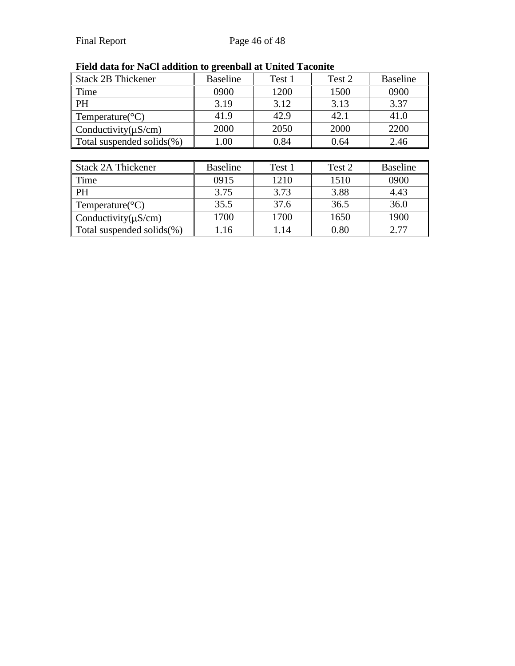| <b>Stack 2B Thickener</b>     | ັ<br><b>Baseline</b> | Test 1 | Test 2 | <b>Baseline</b> |
|-------------------------------|----------------------|--------|--------|-----------------|
| Time                          | 0900                 | 1200   | 1500   | 0900            |
| <b>PH</b>                     | 3.19                 | 3.12   | 3.13   | 3.37            |
| Temperature( ${}^{\circ}C$ )  | 41.9                 | 42.9   | 42.1   | 41.0            |
| Conductivity $(\mu S/cm)$     | 2000                 | 2050   | 2000   | 2200            |
| Total suspended solids $(\%)$ | 1.00                 | 0.84   | 0.64   | 2.46            |
|                               |                      |        |        |                 |
| <b>Stack 2A Thickener</b>     | <b>Baseline</b>      | Test 1 | Test 2 | <b>Baseline</b> |
| Time                          | 0915                 | 1210   | 1510   | 0900            |
| <b>PH</b>                     | 3.75                 | 3.73   | 3.88   | 4.43            |
| Temperature( ${}^{\circ}C$ )  | 35.5                 | 37.6   | 36.5   | 36.0            |
| Conductivity $(\mu S/cm)$     | 1700                 | 1700   | 1650   | 1900            |
| Total suspended solids $(\%)$ | 1.16                 | 1.14   | 0.80   | 2.77            |

# **Field data for NaCl addition to greenball at United Taconite**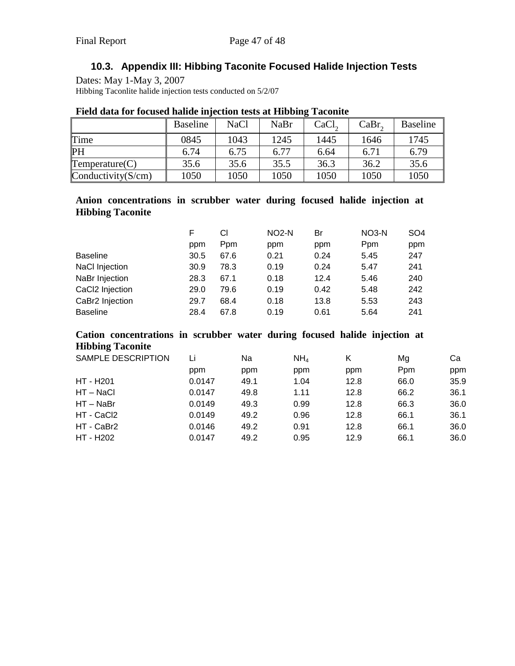# **10.3. Appendix III: Hibbing Taconite Focused Halide Injection Tests**

<span id="page-46-0"></span>Dates: May 1-May 3, 2007 Hibbing Taconlite halide injection tests conducted on 5/2/07

|                       | <b>Baseline</b> | <b>NaCl</b> | NaBr | CaCl <sub>2</sub> | CaBr <sub>2</sub> | <b>Baseline</b> |
|-----------------------|-----------------|-------------|------|-------------------|-------------------|-----------------|
| Time                  | 0845            | 1043        | 1245 | 1445              | 1646              | 1745            |
| <b>PH</b>             | 6.74            | 6.75        | 6.77 | 6.64              | 6.71              | 6.79            |
| Temperature(C)        | 35.6            | 35.6        | 35.5 | 36.3              | 36.2              | 35.6            |
| Conductivity $(S/cm)$ | 1050            | 1050        | 1050 | 1050              | 1050              | 1050            |

#### **Field data for focused halide injection tests at Hibbing Taconite**

### **Anion concentrations in scrubber water during focused halide injection at Hibbing Taconite**

|                       | F    | СI   | $NO2-N$ | Br   | NO3-N      | SO <sub>4</sub> |
|-----------------------|------|------|---------|------|------------|-----------------|
|                       | ppm  | Ppm  | ppm     | ppm  | <b>Ppm</b> | ppm             |
| <b>Baseline</b>       | 30.5 | 67.6 | 0.21    | 0.24 | 5.45       | 247             |
| <b>NaCl Injection</b> | 30.9 | 78.3 | 0.19    | 0.24 | 5.47       | 241             |
| NaBr Injection        | 28.3 | 67.1 | 0.18    | 12.4 | 5.46       | 240             |
| CaCl2 Injection       | 29.0 | 79.6 | 0.19    | 0.42 | 5.48       | 242             |
| CaBr2 Injection       | 29.7 | 68.4 | 0.18    | 13.8 | 5.53       | 243             |
| <b>Baseline</b>       | 28.4 | 67.8 | 0.19    | 0.61 | 5.64       | 241             |

## **Cation concentrations in scrubber water during focused halide injection at Hibbing Taconite**

| <b>SAMPLE DESCRIPTION</b> | Li     | Na   | NH <sub>a</sub> | Κ    | Mg   | Cа   |
|---------------------------|--------|------|-----------------|------|------|------|
|                           | ppm    | ppm  | ppm             | ppm  | Ppm  | ppm  |
| HT - H201                 | 0.0147 | 49.1 | 1.04            | 12.8 | 66.0 | 35.9 |
| HT – NaCl                 | 0.0147 | 49.8 | 1.11            | 12.8 | 66.2 | 36.1 |
| $HT - NaBr$               | 0.0149 | 49.3 | 0.99            | 12.8 | 66.3 | 36.0 |
| HT - CaCl2                | 0.0149 | 49.2 | 0.96            | 12.8 | 66.1 | 36.1 |
| HT - CaBr2                | 0.0146 | 49.2 | 0.91            | 12.8 | 66.1 | 36.0 |
| HT - H202                 | 0.0147 | 49.2 | 0.95            | 12.9 | 66.1 | 36.0 |